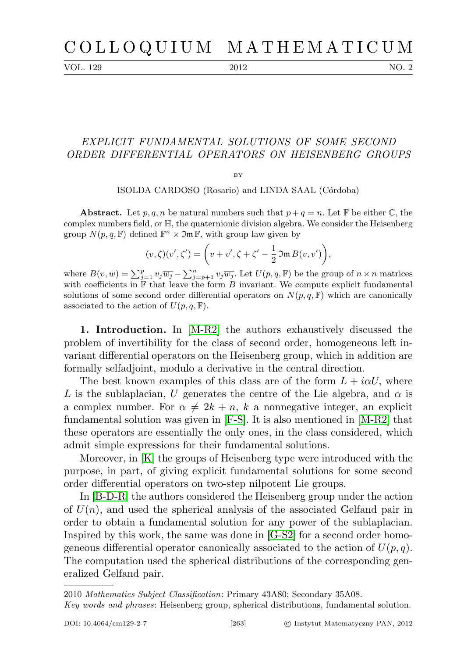## C O L L O Q U I U M M A T H E M A T I C U M

VOL. 129 2012 NO. 2

## EXPLICIT FUNDAMENTAL SOLUTIONS OF SOME SECOND ORDER DIFFERENTIAL OPERATORS ON HEISENBERG GROUPS

 $\mathbf{D}$ 

ISOLDA CARDOSO (Rosario) and LINDA SAAL (Córdoba)

**Abstract.** Let p, q, n be natural numbers such that  $p + q = n$ . Let F be either C, the complex numbers field, or H, the quaternionic division algebra. We consider the Heisenberg group  $N(p, q, \mathbb{F})$  defined  $\mathbb{F}^n \times \mathfrak{Im} \mathbb{F}$ , with group law given by

$$
(v,\zeta)(v',\zeta') = \bigg(v+v',\zeta+\zeta'-\frac{1}{2}\,\mathfrak{Im}\,B(v,v')\bigg),
$$

where  $B(v, w) = \sum_{j=1}^p v_j \overline{w_j} - \sum_{j=p+1}^n v_j \overline{w_j}$ . Let  $U(p, q, \mathbb{F})$  be the group of  $n \times n$  matrices with coefficients in  $\mathbb{F}$  that leave the form B invariant. We compute explicit fundamental solutions of some second order differential operators on  $N(p, q, \mathbb{F})$  which are canonically associated to the action of  $U(p,q,\mathbb{F})$ .

1. Introduction. In [\[M-R2\]](#page-25-0) the authors exhaustively discussed the problem of invertibility for the class of second order, homogeneous left invariant differential operators on the Heisenberg group, which in addition are formally selfadjoint, modulo a derivative in the central direction.

The best known examples of this class are of the form  $L + i\alpha U$ , where L is the sublaplacian, U generates the centre of the Lie algebra, and  $\alpha$  is a complex number. For  $\alpha \neq 2k + n$ , k a nonnegative integer, an explicit fundamental solution was given in [\[F-S\]](#page-25-1). It is also mentioned in [\[M-R2\]](#page-25-0) that these operators are essentially the only ones, in the class considered, which admit simple expressions for their fundamental solutions.

Moreover, in [\[K\]](#page-25-2) the groups of Heisenberg type were introduced with the purpose, in part, of giving explicit fundamental solutions for some second order differential operators on two-step nilpotent Lie groups.

In [\[B-D-R\]](#page-24-0) the authors considered the Heisenberg group under the action of  $U(n)$ , and used the spherical analysis of the associated Gelfand pair in order to obtain a fundamental solution for any power of the sublaplacian. Inspired by this work, the same was done in [\[G-S2\]](#page-25-3) for a second order homogeneous differential operator canonically associated to the action of  $U(p, q)$ . The computation used the spherical distributions of the corresponding generalized Gelfand pair.

<sup>2010</sup> Mathematics Subject Classification: Primary 43A80; Secondary 35A08.

Key words and phrases: Heisenberg group, spherical distributions, fundamental solution.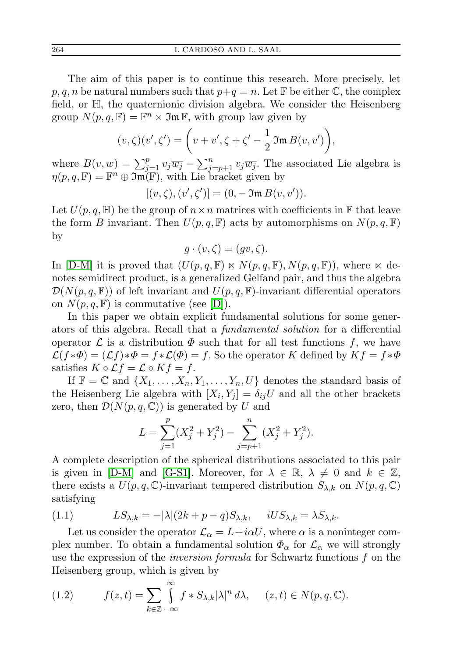The aim of this paper is to continue this research. More precisely, let  $p, q, n$  be natural numbers such that  $p+q = n$ . Let F be either C, the complex field, or H, the quaternionic division algebra. We consider the Heisenberg group  $N(p, q, \mathbb{F}) = \mathbb{F}^n \times \mathfrak{Im} \mathbb{F}$ , with group law given by

$$
(v,\zeta)(v',\zeta') = \left(v+v',\zeta+\zeta'-\frac{1}{2}\mathfrak{Im}\,B(v,v')\right),\,
$$

where  $B(v, w) = \sum_{j=1}^{p} v_j \overline{w_j} - \sum_{j=p+1}^{n} v_j \overline{w_j}$ . The associated Lie algebra is  $\eta(p,q,\mathbb{F}) = \mathbb{F}^n \oplus \mathfrak{Im}(\mathbb{F})$ , with Lie bracket given by

$$
[(v,\zeta),(v',\zeta')]=(0,-\mathfrak{Im}\,B(v,v')).
$$

Let  $U(p,q,\mathbb{H})$  be the group of  $n \times n$  matrices with coefficients in  $\mathbb{F}$  that leave the form B invariant. Then  $U(p,q,\mathbb{F})$  acts by automorphisms on  $N(p,q,\mathbb{F})$ by

$$
g \cdot (v, \zeta) = (gv, \zeta).
$$

In [\[D-M\]](#page-25-4) it is proved that  $(U(p,q,\mathbb{F}) \ltimes N(p,q,\mathbb{F}), N(p,q,\mathbb{F}))$ , where  $\ltimes$  denotes semidirect product, is a generalized Gelfand pair, and thus the algebra  $\mathcal{D}(N(p,q,\mathbb{F}))$  of left invariant and  $U(p,q,\mathbb{F})$ -invariant differential operators on  $N(p, q, \mathbb{F})$  is commutative (see  $|D|$ ).

In this paper we obtain explicit fundamental solutions for some generators of this algebra. Recall that a fundamental solution for a differential operator  $\mathcal L$  is a distribution  $\Phi$  such that for all test functions f, we have  $\mathcal{L}(f * \Phi) = (\mathcal{L}f) * \Phi = f * \mathcal{L}(\Phi) = f$ . So the operator K defined by  $Kf = f * \Phi$ satisfies  $K \circ \mathcal{L}f = \mathcal{L} \circ Kf = f$ .

If  $\mathbb{F} = \mathbb{C}$  and  $\{X_1, \ldots, X_n, Y_1, \ldots, Y_n, U\}$  denotes the standard basis of the Heisenberg Lie algebra with  $[X_i, Y_j] = \delta_{ij} U$  and all the other brackets zero, then  $\mathcal{D}(N(p,q,\mathbb{C}))$  is generated by U and

$$
L = \sum_{j=1}^{p} (X_j^2 + Y_j^2) - \sum_{j=p+1}^{n} (X_j^2 + Y_j^2).
$$

A complete description of the spherical distributions associated to this pair is given in [\[D-M\]](#page-25-4) and [\[G-S1\]](#page-25-5). Moreover, for  $\lambda \in \mathbb{R}, \lambda \neq 0$  and  $k \in \mathbb{Z}$ , there exists a  $U(p,q,\mathbb{C})$ -invariant tempered distribution  $S_{\lambda,k}$  on  $N(p,q,\mathbb{C})$ satisfying

<span id="page-1-0"></span>(1.1) 
$$
LS_{\lambda,k} = -|\lambda|(2k+p-q)S_{\lambda,k}, \quad iUS_{\lambda,k} = \lambda S_{\lambda,k}.
$$

Let us consider the operator  $\mathcal{L}_{\alpha} = L + i\alpha U$ , where  $\alpha$  is a noninteger complex number. To obtain a fundamental solution  $\Phi_{\alpha}$  for  $\mathcal{L}_{\alpha}$  we will strongly use the expression of the inversion formula for Schwartz functions f on the Heisenberg group, which is given by

<span id="page-1-1"></span>(1.2) 
$$
f(z,t) = \sum_{k \in \mathbb{Z}} \int_{-\infty}^{\infty} f * S_{\lambda,k} |\lambda|^n d\lambda, \quad (z,t) \in N(p,q,\mathbb{C}).
$$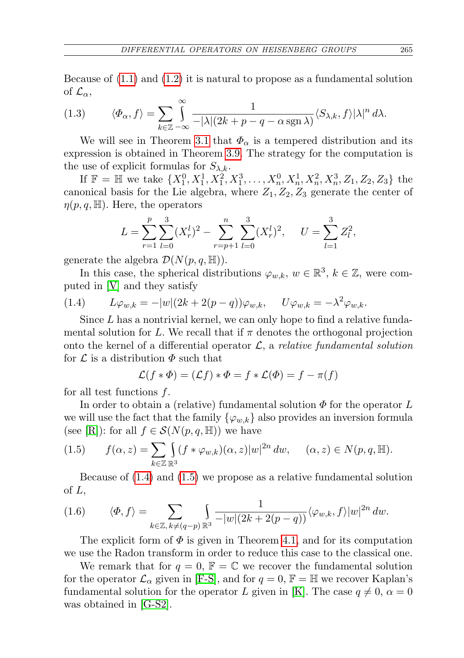Because of  $(1.1)$  and  $(1.2)$  it is natural to propose as a fundamental solution of  $\mathcal{L}_{\alpha}$ ,

<span id="page-2-2"></span>(1.3) 
$$
\langle \Phi_{\alpha}, f \rangle = \sum_{k \in \mathbb{Z}} \int_{-\infty}^{\infty} \frac{1}{-|\lambda|(2k+p-q-\alpha \operatorname{sgn} \lambda)} \langle S_{\lambda,k}, f \rangle |\lambda|^n d\lambda.
$$

We will see in Theorem [3.1](#page-4-0) that  $\Phi_{\alpha}$  is a tempered distribution and its expression is obtained in Theorem [3.9.](#page-19-0) The strategy for the computation is the use of explicit formulas for  $S_{\lambda,k}$ .

If  $\mathbb{F} = \mathbb{H}$  we take  $\{X_1^0, X_1^1, X_1^2, X_1^3, \dots, X_n^0, X_n^1, X_n^2, X_n^3, Z_1, Z_2, Z_3\}$  the canonical basis for the Lie algebra, where  $Z_1, Z_2, Z_3$  generate the center of  $\eta(p,q,\mathbb{H})$ . Here, the operators

$$
L = \sum_{r=1}^{p} \sum_{l=0}^{3} (X_r^l)^2 - \sum_{r=p+1}^{n} \sum_{l=0}^{3} (X_r^l)^2, \quad U = \sum_{l=1}^{3} Z_l^2,
$$

generate the algebra  $\mathcal{D}(N(p,q,\mathbb{H}))$ .

In this case, the spherical distributions  $\varphi_{w,k}, w \in \mathbb{R}^3, k \in \mathbb{Z}$ , were computed in [\[V\]](#page-25-6) and they satisfy

<span id="page-2-0"></span>(1.4) 
$$
L\varphi_{w,k} = -|w|(2k+2(p-q))\varphi_{w,k}, \quad U\varphi_{w,k} = -\lambda^2 \varphi_{w,k}.
$$

Since L has a nontrivial kernel, we can only hope to find a relative fundamental solution for L. We recall that if  $\pi$  denotes the orthogonal projection onto the kernel of a differential operator  $\mathcal{L}$ , a *relative fundamental solution* for  $\mathcal L$  is a distribution  $\Phi$  such that

$$
\mathcal{L}(f * \Phi) = (\mathcal{L}f) * \Phi = f * \mathcal{L}(\Phi) = f - \pi(f)
$$

for all test functions  $f$ .

In order to obtain a (relative) fundamental solution  $\Phi$  for the operator L we will use the fact that the family  $\{\varphi_{w,k}\}\$ also provides an inversion formula (see [\[R\]](#page-25-7)): for all  $f \in \mathcal{S}(N(p,q,\mathbb{H}))$  we have

<span id="page-2-1"></span>
$$
(1.5) \qquad f(\alpha, z) = \sum_{k \in \mathbb{Z}} \int_{\mathbb{R}^3} (f * \varphi_{w,k})(\alpha, z) |w|^{2n} dw, \quad (\alpha, z) \in N(p, q, \mathbb{H}).
$$

Because of [\(1.4\)](#page-2-0) and [\(1.5\)](#page-2-1) we propose as a relative fundamental solution of  $L$ ,

<span id="page-2-3"></span>(1.6) 
$$
\langle \Phi, f \rangle = \sum_{k \in \mathbb{Z}, k \neq (q-p)} \int_{\mathbb{R}^3} \frac{1}{-|w|(2k+2(p-q))} \langle \varphi_{w,k}, f \rangle |w|^{2n} dw.
$$

The explicit form of  $\Phi$  is given in Theorem [4.1,](#page-24-2) and for its computation we use the Radon transform in order to reduce this case to the classical one.

We remark that for  $q = 0$ ,  $\mathbb{F} = \mathbb{C}$  we recover the fundamental solution for the operator  $\mathcal{L}_{\alpha}$  given in [\[F-S\]](#page-25-1), and for  $q = 0$ ,  $\mathbb{F} = \mathbb{H}$  we recover Kaplan's fundamental solution for the operator L given in [\[K\]](#page-25-2). The case  $q \neq 0, \alpha = 0$ was obtained in [\[G-S2\]](#page-25-3).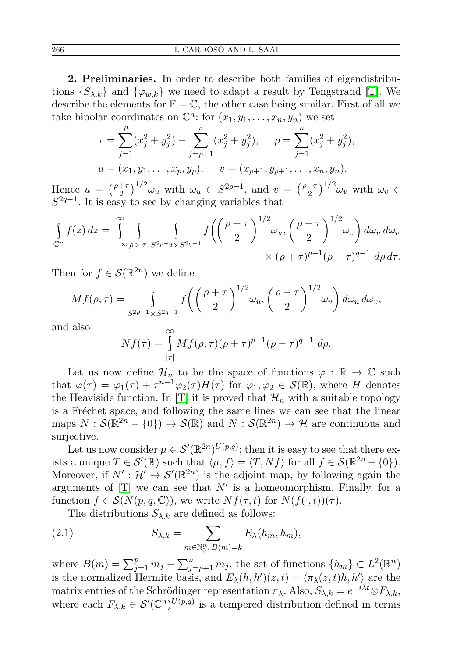2. Preliminaries. In order to describe both families of eigendistributions  $\{S_{\lambda,k}\}\$  and  $\{\varphi_{w,k}\}\$  we need to adapt a result by Tengstrand [\[T\]](#page-25-8). We describe the elements for  $\mathbb{F} = \mathbb{C}$ , the other case being similar. First of all we take bipolar coordinates on  $\mathbb{C}^n$ : for  $(x_1, y_1, \ldots, x_n, y_n)$  we set

$$
\tau = \sum_{j=1}^{p} (x_j^2 + y_j^2) - \sum_{j=p+1}^{n} (x_j^2 + y_j^2), \quad \rho = \sum_{j=1}^{n} (x_j^2 + y_j^2),
$$
  

$$
u = (x_1, y_1, \dots, x_p, y_p), \quad v = (x_{p+1}, y_{p+1}, \dots, x_n, y_n).
$$

Hence  $u = \left(\frac{\rho + \tau}{2}\right)$  $\left(\frac{2+\tau}{2}\right)^{1/2} \omega_u$  with  $\omega_u \in S^{2p-1}$ , and  $v = \left(\frac{p-\tau}{2}\right)^{1/2}$  $\left(\frac{-\tau}{2}\right)^{1/2} \omega_v$  with  $\omega_v \in$  $S^{2q-1}$ . It is easy to see by changing variables that

$$
\int_{\mathbb{C}^n} f(z) dz = \int_{-\infty}^{\infty} \int_{\rho > |\tau|} \int_{S^{2p-q} \times S^{2q-1}} f\left(\left(\frac{\rho+\tau}{2}\right)^{1/2} \omega_u, \left(\frac{\rho-\tau}{2}\right)^{1/2} \omega_v\right) d\omega_u d\omega_v
$$

$$
\times (\rho+\tau)^{p-1} (\rho-\tau)^{q-1} d\rho d\tau.
$$

Then for  $f \in \mathcal{S}(\mathbb{R}^{2n})$  we define

$$
Mf(\rho,\tau) = \int_{S^{2p-1}\times S^{2q-1}} f\left(\left(\frac{\rho+\tau}{2}\right)^{1/2} \omega_u, \left(\frac{\rho-\tau}{2}\right)^{1/2} \omega_v\right) d\omega_u d\omega_v,
$$

and also

$$
Nf(\tau) = \int_{|\tau|}^{\infty} Mf(\rho, \tau)(\rho + \tau)^{p-1} (\rho - \tau)^{q-1} d\rho.
$$

Let us now define  $\mathcal{H}_n$  to be the space of functions  $\varphi : \mathbb{R} \to \mathbb{C}$  such that  $\varphi(\tau) = \varphi_1(\tau) + \tau^{n-1} \varphi_2(\tau) H(\tau)$  for  $\varphi_1, \varphi_2 \in \mathcal{S}(\mathbb{R})$ , where H denotes the Heaviside function. In [\[T\]](#page-25-8) it is proved that  $\mathcal{H}_n$  with a suitable topology is a Fréchet space, and following the same lines we can see that the linear maps  $N: \mathcal{S}(\mathbb{R}^{2n} - \{0\}) \to \mathcal{S}(\mathbb{R})$  and  $N: \mathcal{S}(\mathbb{R}^{2n}) \to \mathcal{H}$  are continuous and surjective.

Let us now consider  $\mu \in \mathcal{S}'(\mathbb{R}^{2n})^{\mathrm{U}(p,q)}$ ; then it is easy to see that there exists a unique  $T \in \mathcal{S}'(\mathbb{R})$  such that  $\langle \mu, f \rangle = \langle T, Nf \rangle$  for all  $f \in \mathcal{S}(\mathbb{R}^{2n} - \{0\}).$ Moreover, if  $N': \mathcal{H}' \to \mathcal{S}'(\mathbb{R}^{2n})$  is the adjoint map, by following again the arguments of  $[T]$  we can see that  $N'$  is a homeomorphism. Finally, for a function  $f \in \mathcal{S}(N(p,q,\mathbb{C}))$ , we write  $Nf(\tau,t)$  for  $N(f(\cdot,t))(\tau)$ .

<span id="page-3-0"></span>The distributions  $S_{\lambda,k}$  are defined as follows:

(2.1) 
$$
S_{\lambda,k} = \sum_{m \in \mathbb{N}_0^n, B(m)=k} E_{\lambda}(h_m, h_m),
$$

where  $B(m) = \sum_{j=1}^{p} m_j - \sum_{j=p+1}^{n} m_j$ , the set of functions  $\{h_m\} \subset L^2(\mathbb{R}^n)$ is the normalized Hermite basis, and  $E_{\lambda}(h, h')(z, t) = \langle \pi_{\lambda}(z, t)h, h' \rangle$  are the matrix entries of the Schrödinger representation  $\pi_{\lambda}$ . Also,  $S_{\lambda,k} = e^{-i\lambda t} \otimes F_{\lambda,k}$ , where each  $F_{\lambda,k} \in \mathcal{S}'(\mathbb{C}^n)^{U(p,q)}$  is a tempered distribution defined in terms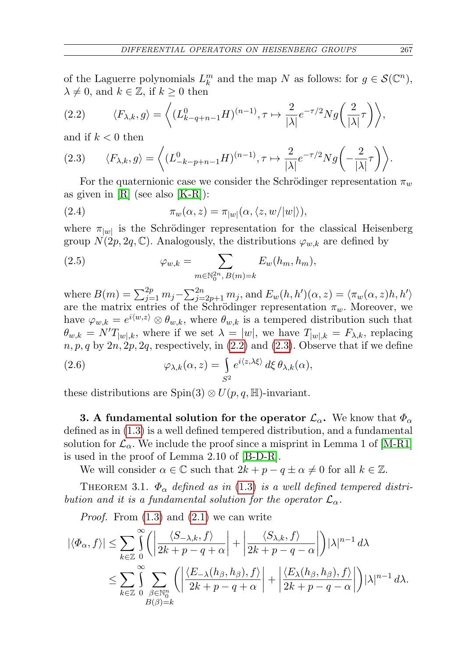of the Laguerre polynomials  $L_k^m$  and the map N as follows: for  $g \in \mathcal{S}(\mathbb{C}^n)$ ,  $\lambda \neq 0$ , and  $k \in \mathbb{Z}$ , if  $k \geq 0$  then

<span id="page-4-1"></span>(2.2) 
$$
\langle F_{\lambda,k}, g \rangle = \left\langle (L^0_{k-q+n-1} H)^{(n-1)}, \tau \mapsto \frac{2}{|\lambda|} e^{-\tau/2} N g\left(\frac{2}{|\lambda|}\tau\right) \right\rangle,
$$

and if  $k < 0$  then

<span id="page-4-2"></span>(2.3) 
$$
\langle F_{\lambda,k}, g \rangle = \left\langle (L^0_{-k-p+n-1} H)^{(n-1)}, \tau \mapsto \frac{2}{|\lambda|} e^{-\tau/2} N g \left( -\frac{2}{|\lambda|} \tau \right) \right\rangle.
$$

For the quaternionic case we consider the Schrödinger representation  $\pi_w$ as given in  $[R]$  (see also  $[K-R]$ ):

(2.4) 
$$
\pi_w(\alpha, z) = \pi_{|w|}(\alpha, \langle z, w/|w| \rangle),
$$

where  $\pi_{|w|}$  is the Schrödinger representation for the classical Heisenberg group  $N(2p, 2q, \mathbb{C})$ . Analogously, the distributions  $\varphi_{w,k}$  are defined by

(2.5) 
$$
\varphi_{w,k} = \sum_{m \in \mathbb{N}_0^{2n}, B(m)=k} E_w(h_m, h_m),
$$

where  $B(m) = \sum_{j=1}^{2p} m_j - \sum_{j=2p+1}^{2n} m_j$ , and  $E_w(h, h')(\alpha, z) = \langle \pi_w(\alpha, z)h, h' \rangle$ are the matrix entries of the Schrödinger representation  $\pi_w$ . Moreover, we have  $\varphi_{w,k} = e^{i\langle w,z\rangle} \otimes \theta_{w,k}$ , where  $\theta_{w,k}$  is a tempered distribution such that  $\theta_{w,k} = N'T_{|w|,k}$ , where if we set  $\lambda = |w|$ , we have  $T_{|w|,k} = F_{\lambda,k}$ , replacing  $n, p, q$  by  $2n, 2p, 2q$ , respectively, in  $(2.2)$  and  $(2.3)$ . Observe that if we define

(2.6) 
$$
\varphi_{\lambda,k}(\alpha,z) = \int_{S^2} e^{i\langle z,\lambda\xi\rangle} d\xi \,\theta_{\lambda,k}(\alpha),
$$

these distributions are  $Spin(3) \otimes U(p,q,\mathbb{H})$ -invariant.

<span id="page-4-3"></span>3. A fundamental solution for the operator  $\mathcal{L}_{\alpha}$ . We know that  $\Phi_{\alpha}$ defined as in [\(1.3\)](#page-2-2) is a well defined tempered distribution, and a fundamental solution for  $\mathcal{L}_{\alpha}$ . We include the proof since a misprint in Lemma 1 of [\[M-R1\]](#page-25-10) is used in the proof of Lemma 2.10 of [\[B-D-R\]](#page-24-0).

We will consider  $\alpha \in \mathbb{C}$  such that  $2k + p - q \pm \alpha \neq 0$  for all  $k \in \mathbb{Z}$ .

<span id="page-4-0"></span>THEOREM 3.1.  $\Phi_{\alpha}$  defined as in [\(1.3\)](#page-2-2) is a well defined tempered distribution and it is a fundamental solution for the operator  $\mathcal{L}_{\alpha}$ .

*Proof.* From  $(1.3)$  and  $(2.1)$  we can write

$$
|\langle \Phi_{\alpha}, f \rangle| \leq \sum_{k \in \mathbb{Z}} \int_{0}^{\infty} \left( \left| \frac{\langle S_{-\lambda,k}, f \rangle}{2k + p - q + \alpha} \right| + \left| \frac{\langle S_{\lambda,k}, f \rangle}{2k + p - q - \alpha} \right| \right) |\lambda|^{n-1} d\lambda
$$
  

$$
\leq \sum_{k \in \mathbb{Z}} \int_{0}^{\infty} \sum_{\substack{\beta \in \mathbb{N}_{0}^{n} \\ B(\beta) = k}} \left( \left| \frac{\langle E_{-\lambda}(h_{\beta}, h_{\beta}), f \rangle}{2k + p - q + \alpha} \right| + \left| \frac{\langle E_{\lambda}(h_{\beta}, h_{\beta}), f \rangle}{2k + p - q - \alpha} \right| \right) |\lambda|^{n-1} d\lambda.
$$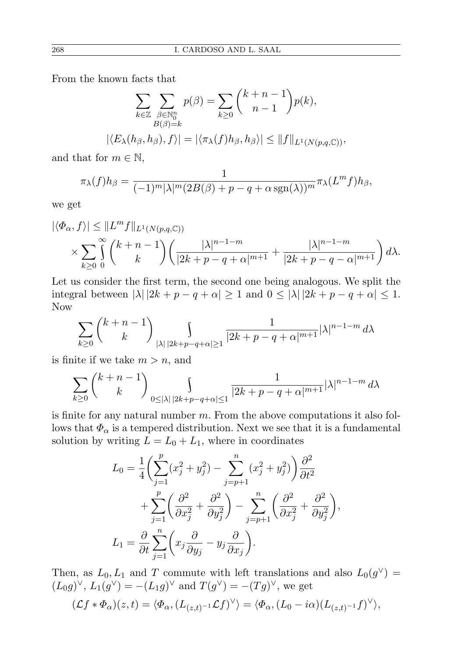From the known facts that

$$
\sum_{k \in \mathbb{Z}} \sum_{\substack{\beta \in \mathbb{N}_0^n \\ B(\beta) = k}} p(\beta) = \sum_{k \ge 0} {k+n-1 \choose n-1} p(k),
$$
  

$$
|\langle E_{\lambda}(h_{\beta}, h_{\beta}), f \rangle| = |\langle \pi_{\lambda}(f)h_{\beta}, h_{\beta} \rangle| \le ||f||_{L^1(N(p,q,\mathbb{C}))},
$$

and that for  $m \in \mathbb{N}$ ,

$$
\pi_{\lambda}(f)h_{\beta} = \frac{1}{(-1)^m |\lambda|^m (2B(\beta) + p - q + \alpha \operatorname{sgn}(\lambda))^{m}} \pi_{\lambda}(L^m f)h_{\beta},
$$

we get

$$
|\langle \Phi_{\alpha}, f \rangle| \leq ||L^m f||_{L^1(N(p,q,\mathbb{C}))}
$$
  
\$\times \sum\_{k \geq 0} \int\_{0}^{\infty} {k+n-1 \choose k} \left( \frac{|\lambda|^{n-1-m}}{|2k+p-q+\alpha|^{m+1}} + \frac{|\lambda|^{n-1-m}}{|2k+p-q-\alpha|^{m+1}} \right) d\lambda.\$

Let us consider the first term, the second one being analogous. We split the integral between  $|\lambda| |2k + p - q + \alpha| \geq 1$  and  $0 \leq |\lambda| |2k + p - q + \alpha| \leq 1$ . Now

$$
\sum_{k\geq 0} {k+n-1 \choose k} \int_{|\lambda| \, |2k+p-q+\alpha| \geq 1} \frac{1}{|2k+p-q+\alpha|^{m+1}} |\lambda|^{n-1-m} d\lambda
$$

is finite if we take  $m > n$ , and

$$
\sum_{k\geq 0} {k+n-1 \choose k} \int_{0 \leq |\lambda| \, |2k+p-q+\alpha| \leq 1} \frac{1}{|2k+p-q+\alpha|^{m+1}} |\lambda|^{n-1-m} d\lambda
$$

is finite for any natural number  $m$ . From the above computations it also follows that  $\Phi_{\alpha}$  is a tempered distribution. Next we see that it is a fundamental solution by writing  $L = L_0 + L_1$ , where in coordinates

$$
L_0 = \frac{1}{4} \left( \sum_{j=1}^p (x_j^2 + y_j^2) - \sum_{j=p+1}^n (x_j^2 + y_j^2) \right) \frac{\partial^2}{\partial t^2}
$$
  
+ 
$$
\sum_{j=1}^p \left( \frac{\partial^2}{\partial x_j^2} + \frac{\partial^2}{\partial y_j^2} \right) - \sum_{j=p+1}^n \left( \frac{\partial^2}{\partial x_j^2} + \frac{\partial^2}{\partial y_j^2} \right),
$$
  

$$
L_1 = \frac{\partial}{\partial t} \sum_{j=1}^n \left( x_j \frac{\partial}{\partial y_j} - y_j \frac{\partial}{\partial x_j} \right).
$$

Then, as  $L_0, L_1$  and T commute with left translations and also  $L_0(g^{\vee})$  =  $(L_0g)^\vee$ ,  $L_1(g^\vee) = -(L_1g)^\vee$  and  $T(g^\vee) = -(Tg)^\vee$ , we get

$$
(\mathcal{L}f * \Phi_{\alpha})(z,t) = \langle \Phi_{\alpha}, (L_{(z,t)^{-1}} \mathcal{L}f)^{\vee} \rangle = \langle \Phi_{\alpha}, (L_0 - i\alpha)(L_{(z,t)^{-1}}f)^{\vee} \rangle,
$$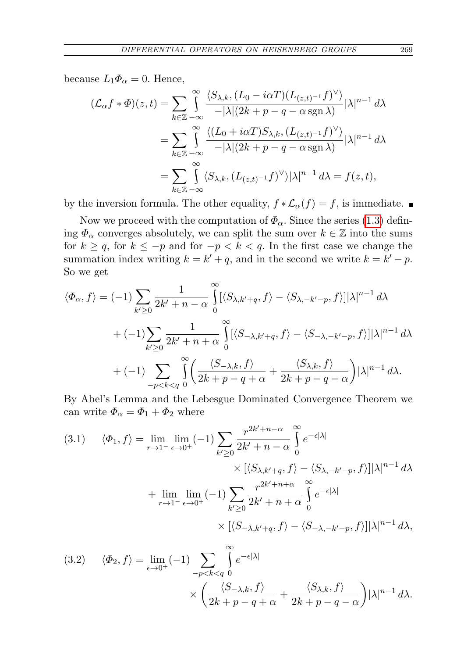because  $L_1\Phi_\alpha=0$ . Hence,

$$
(\mathcal{L}_{\alpha}f * \Phi)(z, t) = \sum_{k \in \mathbb{Z}} \int_{-\infty}^{\infty} \frac{\langle S_{\lambda,k}, (L_0 - i\alpha T)(L_{(z,t)^{-1}}f)^{\vee} \rangle}{-|\lambda|(2k + p - q - \alpha \operatorname{sgn} \lambda)} |\lambda|^{n-1} d\lambda
$$
  
= 
$$
\sum_{k \in \mathbb{Z}} \int_{-\infty}^{\infty} \frac{\langle (L_0 + i\alpha T)S_{\lambda,k}, (L_{(z,t)^{-1}}f)^{\vee} \rangle}{-|\lambda|(2k + p - q - \alpha \operatorname{sgn} \lambda)} |\lambda|^{n-1} d\lambda
$$
  
= 
$$
\sum_{k \in \mathbb{Z}} \int_{-\infty}^{\infty} \langle S_{\lambda,k}, (L_{(z,t)^{-1}}f)^{\vee} \rangle |\lambda|^{n-1} d\lambda = f(z, t),
$$

by the inversion formula. The other equality,  $f * \mathcal{L}_{\alpha}(f) = f$ , is immediate.

Now we proceed with the computation of  $\Phi_{\alpha}$ . Since the series [\(1.3\)](#page-2-2) defining  $\Phi_{\alpha}$  converges absolutely, we can split the sum over  $k \in \mathbb{Z}$  into the sums for  $k \ge q$ , for  $k \le -p$  and for  $-p < k < q$ . In the first case we change the summation index writing  $k = k' + q$ , and in the second we write  $k = k' - p$ . So we get

$$
\langle \Phi_{\alpha}, f \rangle = (-1) \sum_{k' \ge 0} \frac{1}{2k' + n - \alpha} \int_{0}^{\infty} [\langle S_{\lambda, k' + q}, f \rangle - \langle S_{\lambda, -k' - p}, f \rangle] |\lambda|^{n-1} d\lambda + (-1) \sum_{k' \ge 0} \frac{1}{2k' + n + \alpha} \int_{0}^{\infty} [\langle S_{-\lambda, k' + q}, f \rangle - \langle S_{-\lambda, -k' - p}, f \rangle] |\lambda|^{n-1} d\lambda + (-1) \sum_{-p < k < q} \int_{0}^{\infty} \left( \frac{\langle S_{-\lambda, k}, f \rangle}{2k + p - q + \alpha} + \frac{\langle S_{\lambda, k}, f \rangle}{2k + p - q - \alpha} \right) |\lambda|^{n-1} d\lambda.
$$

By Abel's Lemma and the Lebesgue Dominated Convergence Theorem we can write  $\Phi_{\alpha} = \Phi_1 + \Phi_2$  where

(3.1) 
$$
\langle \Phi_1, f \rangle = \lim_{r \to 1^-} \lim_{\epsilon \to 0^+} (-1) \sum_{k' \ge 0} \frac{r^{2k' + n - \alpha}}{2k' + n - \alpha} \int_0^{\infty} e^{-\epsilon |\lambda|} \times [\langle S_{\lambda, k' + q}, f \rangle - \langle S_{\lambda, -k' - p}, f \rangle] |\lambda|^{n-1} d\lambda
$$

$$
+ \lim_{r \to 1^-} \lim_{\epsilon \to 0^+} (-1) \sum_{k' \ge 0} \frac{r^{2k' + n + \alpha}}{2k' + n + \alpha} \int_0^{\infty} e^{-\epsilon |\lambda|} \times [\langle S_{-\lambda, k' + q}, f \rangle - \langle S_{-\lambda, -k' - p}, f \rangle] |\lambda|^{n-1} d\lambda,
$$

(3.2) 
$$
\langle \Phi_2, f \rangle = \lim_{\epsilon \to 0^+} (-1) \sum_{-p < k < q} \int_0^\infty e^{-\epsilon |\lambda|} \times \left( \frac{\langle S_{-\lambda,k}, f \rangle}{2k + p - q + \alpha} + \frac{\langle S_{\lambda,k}, f \rangle}{2k + p - q - \alpha} \right) |\lambda|^{n-1} d\lambda.
$$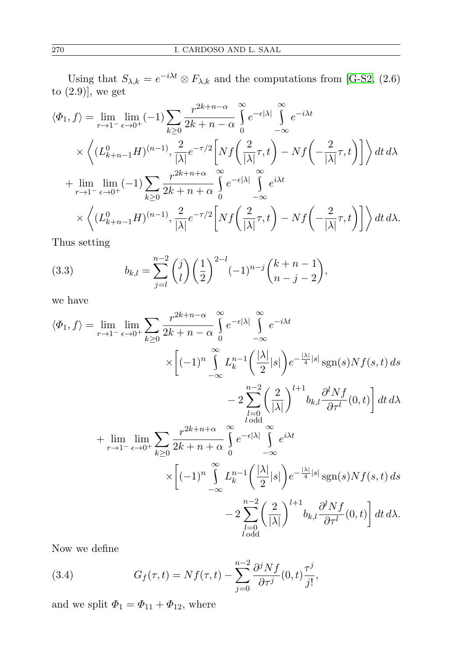Using that  $S_{\lambda,k} = e^{-i\lambda t} \otimes F_{\lambda,k}$  and the computations from [\[G-S2,](#page-25-3) (2.6) to  $(2.9)$ , we get

$$
\langle \Phi_1, f \rangle = \lim_{r \to 1^-} \lim_{\epsilon \to 0^+} (-1) \sum_{k \ge 0} \frac{r^{2k+n-\alpha}}{2k+n-\alpha} \int_0^{\infty} e^{-\epsilon |\lambda|} \int_{-\infty}^{\infty} e^{-i\lambda t}
$$
  
 
$$
\times \left\langle (L^0_{k+n-1} H)^{(n-1)}, \frac{2}{|\lambda|} e^{-\tau/2} \left[ Nf\left(\frac{2}{|\lambda|}\tau, t\right) - Nf\left(-\frac{2}{|\lambda|}\tau, t\right) \right] \right\rangle dt d\lambda
$$
  
+ 
$$
\lim_{r \to 1^-} \lim_{\epsilon \to 0^+} (-1) \sum_{k \ge 0} \frac{r^{2k+n+\alpha}}{2k+n+\alpha} \int_0^{\infty} e^{-\epsilon |\lambda|} \int_{-\infty}^{\infty} e^{i\lambda t}
$$
  

$$
\times \left\langle (L^0_{k+n-1} H)^{(n-1)}, \frac{2}{|\lambda|} e^{-\tau/2} \left[ Nf\left(\frac{2}{|\lambda|}\tau, t\right) - Nf\left(-\frac{2}{|\lambda|}\tau, t\right) \right] \right\rangle dt d\lambda.
$$

Thus setting

<span id="page-7-1"></span>(3.3) 
$$
b_{k,l} = \sum_{j=l}^{n-2} {j \choose l} \left(\frac{1}{2}\right)^{2-l} (-1)^{n-j} {k+n-1 \choose n-j-2},
$$

we have

$$
\langle \Phi_1, f \rangle = \lim_{r \to 1^{-}} \lim_{\epsilon \to 0^{+}} \sum_{k \geq 0} \frac{r^{2k+n-\alpha}}{2k+n-\alpha} \int_{0}^{\infty} e^{-\epsilon |\lambda|} \int_{-\infty}^{\infty} e^{-i\lambda t} \times \left[ (-1)^n \int_{-\infty}^{\infty} L_k^{n-1} \left( \frac{|\lambda|}{2} |s| \right) e^{-\frac{|\lambda|}{4} |s|} \text{sgn}(s) N f(s, t) ds \right. \\ \left. - 2 \sum_{l=0}^{n-2} \left( \frac{2}{|\lambda|} \right)^{l+1} b_{k,l} \frac{\partial^l N f}{\partial \tau^l}(0, t) \right] dt d\lambda
$$

$$
+ \lim_{r \to 1^{-}} \lim_{\epsilon \to 0^{+}} \sum_{k \geq 0} \frac{r^{2k+n+\alpha}}{2k+n+\alpha} \int_{0}^{\infty} e^{-\epsilon |\lambda|} \int_{-\infty}^{\infty} e^{i\lambda t} \times \left[ (-1)^n \int_{-\infty}^{\infty} L_k^{n-1} \left( \frac{|\lambda|}{2} |s| \right) e^{-\frac{|\lambda|}{4} |s|} \text{sgn}(s) N f(s, t) ds \right. \\ \left. - 2 \sum_{l=0}^{n-2} \left( \frac{2}{|\lambda|} \right)^{l+1} b_{k,l} \frac{\partial^l N f}{\partial \tau^l}(0, t) \right] dt d\lambda.
$$

Now we define

<span id="page-7-0"></span>(3.4) 
$$
G_f(\tau,t) = Nf(\tau,t) - \sum_{j=0}^{n-2} \frac{\partial^j Nf}{\partial \tau^j}(0,t) \frac{\tau^j}{j!},
$$

and we split  $\Phi_1 = \Phi_{11} + \Phi_{12}$ , where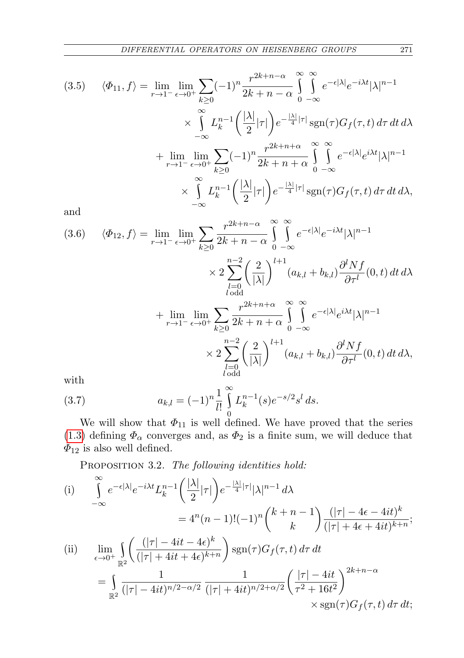$$
(3.5) \quad \langle \Phi_{11}, f \rangle = \lim_{r \to 1^{-}} \lim_{\epsilon \to 0^{+}} \sum_{k \ge 0} (-1)^{n} \frac{r^{2k+n-\alpha}}{2k+n-\alpha} \int_{0}^{\infty} \int_{-\infty}^{\infty} e^{-\epsilon |\lambda|} e^{-i\lambda t} |\lambda|^{n-1}
$$

$$
\times \int_{-\infty}^{\infty} L_{k}^{n-1} \left( \frac{|\lambda|}{2} |\tau| \right) e^{-\frac{|\lambda|}{4} |\tau|} \operatorname{sgn}(\tau) G_{f}(\tau, t) d\tau dt d\lambda
$$

$$
+ \lim_{r \to 1^{-}} \lim_{\epsilon \to 0^{+}} \sum_{k \ge 0} (-1)^{n} \frac{r^{2k+n+\alpha}}{2k+n+\alpha} \int_{0}^{\infty} \int_{-\infty}^{\infty} e^{-\epsilon |\lambda|} e^{i\lambda t} |\lambda|^{n-1}
$$

$$
\times \int_{-\infty}^{\infty} L_{k}^{n-1} \left( \frac{|\lambda|}{2} |\tau| \right) e^{-\frac{|\lambda|}{4} |\tau|} \operatorname{sgn}(\tau) G_{f}(\tau, t) d\tau dt d\lambda,
$$

and

<span id="page-8-1"></span>(3.6) 
$$
\langle \Phi_{12}, f \rangle = \lim_{r \to 1^{-}} \lim_{\epsilon \to 0^{+}} \sum_{k \ge 0} \frac{r^{2k+n-\alpha}}{2k+n-\alpha} \int_{0}^{\infty} \int_{-\infty}^{\infty} e^{-\epsilon |\lambda|} e^{-i\lambda t} |\lambda|^{n-1} \times 2 \sum_{\substack{l=0 \ l \text{ odd}}}^{n-2} \left(\frac{2}{|\lambda|}\right)^{l+1} (a_{k,l} + b_{k,l}) \frac{\partial^l Nf}{\partial \tau^l}(0, t) dt d\lambda + \lim_{r \to 1^{-}} \lim_{\epsilon \to 0^{+}} \sum_{k \ge 0} \frac{r^{2k+n+\alpha}}{2k+n+\alpha} \int_{0}^{\infty} \int_{-\infty}^{\infty} e^{-\epsilon |\lambda|} e^{i\lambda t} |\lambda|^{n-1} \times 2 \sum_{\substack{l=0 \ l \text{ odd}}}^{n-2} \left(\frac{2}{|\lambda|}\right)^{l+1} (a_{k,l} + b_{k,l}) \frac{\partial^l Nf}{\partial \tau^l}(0, t) dt d\lambda, with
$$

<span id="page-8-2"></span>with

(3.7) 
$$
a_{k,l} = (-1)^n \frac{1}{l!} \int_0^\infty L_k^{n-1}(s) e^{-s/2} s^l ds.
$$

We will show that  $\Phi_{11}$  is well defined. We have proved that the series [\(1.3\)](#page-2-2) defining  $\Phi_{\alpha}$  converges and, as  $\Phi_2$  is a finite sum, we will deduce that  $\Phi_{12}$  is also well defined.

<span id="page-8-0"></span>PROPOSITION 3.2. The following identities hold:

(i) 
$$
\int_{-\infty}^{\infty} e^{-\epsilon |\lambda|} e^{-i\lambda t} L_k^{n-1} \left( \frac{|\lambda|}{2} |\tau| \right) e^{-\frac{|\lambda|}{4} |\tau|} |\lambda|^{n-1} d\lambda
$$
  
\n
$$
= 4^n (n-1)! (-1)^n \binom{k+n-1}{k} \frac{(|\tau| - 4\epsilon - 4it)^k}{(|\tau| + 4\epsilon + 4it)^{k+n}};
$$
  
\n(ii) 
$$
\lim_{\epsilon \to 0^+} \int_{\mathbb{R}^2} \left( \frac{(|\tau| - 4it - 4\epsilon)^k}{(|\tau| + 4it + 4\epsilon)^{k+n}} \right) \operatorname{sgn}(\tau) G_f(\tau, t) d\tau dt
$$
  
\n
$$
= \int_{\mathbb{R}^2} \frac{1}{(|\tau| - 4it)^{n/2 - \alpha/2}} \frac{1}{(|\tau| + 4it)^{n/2 + \alpha/2}} \left( \frac{|\tau| - 4it}{\tau^2 + 16t^2} \right)^{2k+n-\alpha} \times \operatorname{sgn}(\tau) G_f(\tau, t) d\tau dt;
$$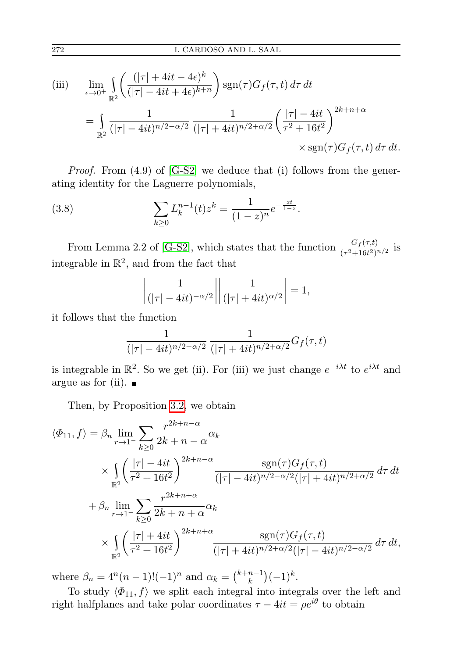(iii) 
$$
\lim_{\epsilon \to 0^+} \int_{\mathbb{R}^2} \left( \frac{(|\tau| + 4it - 4\epsilon)^k}{(|\tau| - 4it + 4\epsilon)^{k+n}} \right) \operatorname{sgn}(\tau) G_f(\tau, t) d\tau dt
$$

$$
= \int_{\mathbb{R}^2} \frac{1}{(|\tau| - 4it)^{n/2 - \alpha/2}} \frac{1}{(|\tau| + 4it)^{n/2 + \alpha/2}} \left( \frac{|\tau| - 4it}{\tau^2 + 16t^2} \right)^{2k + n + \alpha} \times \operatorname{sgn}(\tau) G_f(\tau, t) d\tau dt.
$$

*Proof.* From  $(4.9)$  of  $[G-S2]$  we deduce that  $(i)$  follows from the generating identity for the Laguerre polynomials,

(3.8) 
$$
\sum_{k\geq 0} L_k^{n-1}(t) z^k = \frac{1}{(1-z)^n} e^{-\frac{zt}{1-z}}.
$$

From Lemma 2.2 of [\[G-S2\]](#page-25-3), which states that the function  $\frac{G_f(\tau,t)}{(\tau^2+16t^2)^{n/2}}$  is integrable in  $\mathbb{R}^2$ , and from the fact that

<span id="page-9-0"></span>
$$
\left|\frac{1}{(|\tau| - 4it)^{-\alpha/2}}\right| \left|\frac{1}{(|\tau| + 4it)^{\alpha/2}}\right| = 1,
$$

it follows that the function

$$
\frac{1}{(|\tau| - 4it)^{n/2-\alpha/2}}\,\frac{1}{(|\tau| + 4it)^{n/2+\alpha/2}}G_f(\tau,t)
$$

is integrable in  $\mathbb{R}^2$ . So we get (ii). For (iii) we just change  $e^{-i\lambda t}$  to  $e^{i\lambda t}$  and argue as for (ii).  $\blacksquare$ 

Then, by Proposition [3.2,](#page-8-0) we obtain

$$
\langle \Phi_{11}, f \rangle = \beta_n \lim_{r \to 1^-} \sum_{k \ge 0} \frac{r^{2k+n-\alpha}}{2k+n-\alpha} \alpha_k
$$
  
 
$$
\times \int_{\mathbb{R}^2} \left( \frac{|\tau| - 4it}{\tau^2 + 16t^2} \right)^{2k+n-\alpha} \frac{\text{sgn}(\tau) G_f(\tau, t)}{(|\tau| - 4it)^{n/2 - \alpha/2} (|\tau| + 4it)^{n/2 + \alpha/2}} d\tau dt
$$
  
 
$$
+ \beta_n \lim_{r \to 1^-} \sum_{k \ge 0} \frac{r^{2k+n+\alpha}}{2k+n+\alpha} \alpha_k
$$
  
 
$$
\times \int_{\mathbb{R}^2} \left( \frac{|\tau| + 4it}{\tau^2 + 16t^2} \right)^{2k+n+\alpha} \frac{\text{sgn}(\tau) G_f(\tau, t)}{(|\tau| + 4it)^{n/2 + \alpha/2} (|\tau| - 4it)^{n/2 - \alpha/2}} d\tau dt,
$$

where  $\beta_n = 4^n(n-1)!(-1)^n$  and  $\alpha_k = \binom{k+n-1}{k}$  $\binom{n-1}{k}(-1)^k$ .

To study  $\langle \Phi_{11}, f \rangle$  we split each integral into integrals over the left and right halfplanes and take polar coordinates  $\tau - 4it = \rho e^{i\theta}$  to obtain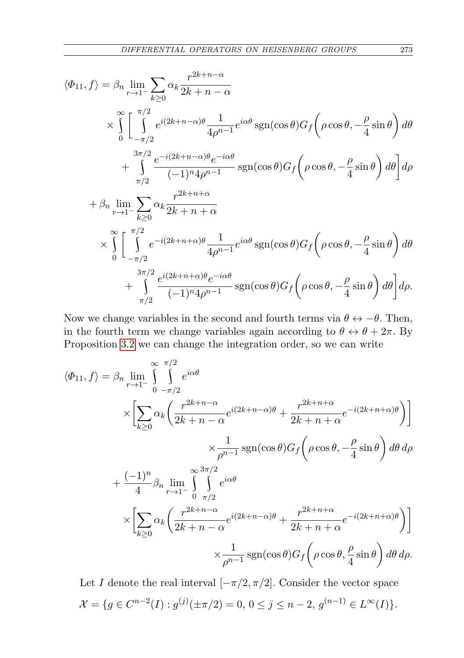$$
\langle \Phi_{11}, f \rangle = \beta_n \lim_{r \to 1^{-}} \sum_{k \ge 0} \alpha_k \frac{r^{2k+n-\alpha}}{2k+n-\alpha}
$$
  
\n
$$
\times \int_{0}^{\infty} \left[ \int_{-\pi/2}^{\pi/2} e^{i(2k+n-\alpha)\theta} \frac{1}{4\rho^{n-1}} e^{i\alpha\theta} \operatorname{sgn}(\cos\theta) G_f \left( \rho \cos\theta, -\frac{\rho}{4} \sin\theta \right) d\theta \right. \n+ \int_{\pi/2}^{3\pi/2} \frac{e^{-i(2k+n-\alpha)\theta} e^{-i\alpha\theta}}{(-1)^n 4\rho^{n-1}} \operatorname{sgn}(\cos\theta) G_f \left( \rho \cos\theta, -\frac{\rho}{4} \sin\theta \right) d\theta \right] d\rho \n+ \beta_n \lim_{r \to 1^{-}} \sum_{k \ge 0} \alpha_k \frac{r^{2k+n+\alpha}}{2k+n+\alpha} \n\times \int_{0}^{\infty} \left[ \int_{-\pi/2}^{\pi/2} e^{-i(2k+n+\alpha)\theta} \frac{1}{4\rho^{n-1}} e^{i\alpha\theta} \operatorname{sgn}(\cos\theta) G_f \left( \rho \cos\theta, -\frac{\rho}{4} \sin\theta \right) d\theta \right. \n+ \int_{\pi/2}^{3\pi/2} \frac{e^{i(2k+n+\alpha)\theta} e^{-i\alpha\theta}}{(-1)^n 4\rho^{n-1}} \operatorname{sgn}(\cos\theta) G_f \left( \rho \cos\theta, -\frac{\rho}{4} \sin\theta \right) d\theta \right] d\rho.
$$

Now we change variables in the second and fourth terms via  $\theta \leftrightarrow -\theta$ . Then, in the fourth term we change variables again according to  $\theta \leftrightarrow \theta + 2\pi$ . By Proposition [3.2](#page-8-0) we can change the integration order, so we can write

$$
\langle \Phi_{11}, f \rangle = \beta_n \lim_{r \to 1^{-}} \int_{0}^{\infty} \int_{-\pi/2}^{\pi/2} e^{i\alpha \theta} \times \left[ \sum_{k \ge 0} \alpha_k \left( \frac{r^{2k+n-\alpha}}{2k+n-\alpha} e^{i(2k+n-\alpha)\theta} + \frac{r^{2k+n+\alpha}}{2k+n+\alpha} e^{-i(2k+n+\alpha)\theta} \right) \right] \times \frac{1}{\rho^{n-1}} \operatorname{sgn}(\cos \theta) G_f \left( \rho \cos \theta, -\frac{\rho}{4} \sin \theta \right) d\theta d\rho
$$

$$
+ \frac{(-1)^n}{4} \beta_n \lim_{r \to 1^{-}} \int_{0}^{\infty} \int_{\pi/2}^{\alpha \alpha \theta} e^{i\alpha \theta} \times \left[ \sum_{k \ge 0} \alpha_k \left( \frac{r^{2k+n-\alpha}}{2k+n-\alpha} e^{i(2k+n-\alpha)\theta} + \frac{r^{2k+n+\alpha}}{2k+n+\alpha} e^{-i(2k+n+\alpha)\theta} \right) \right] \times \frac{1}{\rho^{n-1}} \operatorname{sgn}(\cos \theta) G_f \left( \rho \cos \theta, \frac{\rho}{4} \sin \theta \right) d\theta d\rho.
$$

Let I denote the real interval  $[-\pi/2, \pi/2]$ . Consider the vector space  $\mathcal{X} = \{g \in C^{n-2}(I) : g^{(j)}(\pm \pi/2) = 0, 0 \le j \le n-2, g^{(n-1)} \in L^{\infty}(I)\}.$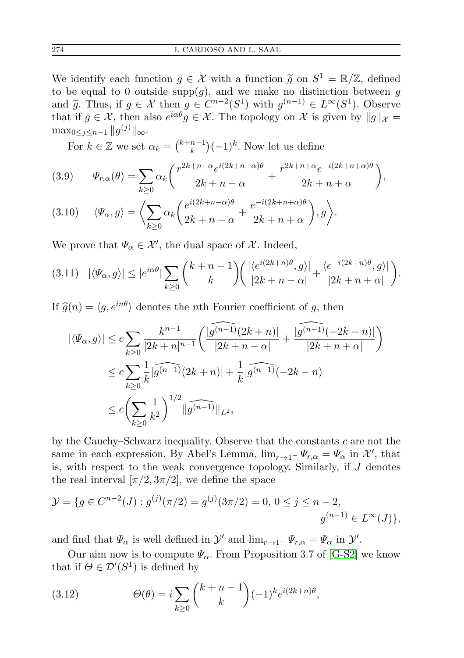We identify each function  $g \in \mathcal{X}$  with a function  $\tilde{g}$  on  $S^1 = \mathbb{R}/\mathbb{Z}$ , defined<br>to be equal to 0 outside supp(c) and we make no distinction between g to be equal to 0 outside supp $(g)$ , and we make no distinction between g and  $\widetilde{g}$ . Thus, if  $g \in \mathcal{X}$  then  $g \in C^{n-2}(S^1)$  with  $g^{(n-1)} \in L^{\infty}(S^1)$ . Observe that if  $g \in \mathcal{X}$ , then also  $e^{i\alpha\theta} g \in \mathcal{X}$ . The topology on  $\mathcal{X}$  is given by  $||g||_{\mathcal{X}} =$  $\max_{0\leq j\leq n-1} \|g^{(j)}\|_{\infty}.$ 

For  $k \in \mathbb{Z}$  we set  $\alpha_k = \binom{k+n-1}{k}$  $\binom{n-1}{k}(-1)^k$ . Now let us define

<span id="page-11-0"></span>(3.9) 
$$
\Psi_{r,\alpha}(\theta) = \sum_{k\geq 0} \alpha_k \left( \frac{r^{2k+n-\alpha} e^{i(2k+n-\alpha)\theta}}{2k+n-\alpha} + \frac{r^{2k+n+\alpha} e^{-i(2k+n+\alpha)\theta}}{2k+n+\alpha} \right),
$$

(3.10) 
$$
\langle \Psi_{\alpha}, g \rangle = \left\langle \sum_{k \ge 0} \alpha_k \left( \frac{e^{i(2k+n-\alpha)\theta}}{2k+n-\alpha} + \frac{e^{-i(2k+n+\alpha)\theta}}{2k+n+\alpha} \right), g \right\rangle.
$$

We prove that  $\Psi_{\alpha} \in \mathcal{X}'$ , the dual space of  $\mathcal{X}$ . Indeed,

$$
(3.11) \quad |\langle \varPsi_{\alpha}, g \rangle| \le |e^{i\alpha\theta}| \sum_{k \ge 0} {k+n-1 \choose k} \left( \frac{|\langle e^{i(2k+n)\theta}, g \rangle|}{|2k+n-\alpha|} + \frac{\langle e^{-i(2k+n)\theta}, g \rangle|}{|2k+n+\alpha|} \right).
$$

If  $\hat{g}(n) = \langle g, e^{in\theta} \rangle$  denotes the *n*th Fourier coefficient of g, then

$$
\begin{aligned} |\langle \varPsi_{\alpha}, g \rangle| &\leq c \sum_{k \geq 0} \frac{k^{n-1}}{|2k+n|^{n-1}} \bigg( \frac{|\widehat{g^{(n-1)}}(2k+n)|}{|2k+n-\alpha|} + \frac{|\widehat{g^{(n-1)}}(-2k-n)|}{|2k+n+\alpha|} \bigg) \\ &\leq c \sum_{k \geq 0} \frac{1}{k} |\widehat{g^{(n-1)}}(2k+n)| + \frac{1}{k} |\widehat{g^{(n-1)}}(-2k-n)| \\ &\leq c \bigg( \sum_{k \geq 0} \frac{1}{k^2} \bigg)^{1/2} \|\widehat{g^{(n-1)}}\|_{L^2}, \end{aligned}
$$

by the Cauchy–Schwarz inequality. Observe that the constants  $c$  are not the same in each expression. By Abel's Lemma,  $\lim_{r\to 1^-} \Psi_{r,\alpha} = \Psi_\alpha$  in X', that is, with respect to the weak convergence topology. Similarly, if  $J$  denotes the real interval  $[\pi/2, 3\pi/2]$ , we define the space

$$
\mathcal{Y} = \{ g \in C^{n-2}(J) : g^{(j)}(\pi/2) = g^{(j)}(3\pi/2) = 0, 0 \le j \le n-2, g^{(n-1)} \in L^{\infty}(J) \},
$$

and find that  $\Psi_{\alpha}$  is well defined in  $\mathcal{Y}'$  and  $\lim_{r\to 1^-} \Psi_{r,\alpha} = \Psi_{\alpha}$  in  $\mathcal{Y}'$ .

Our aim now is to compute  $\Psi_{\alpha}$ . From Proposition 3.7 of [\[G-S2\]](#page-25-3) we know that if  $\Theta \in \mathcal{D}'(S^1)$  is defined by

(3.12) 
$$
\Theta(\theta) = i \sum_{k \ge 0} {k+n-1 \choose k} (-1)^k e^{i(2k+n)\theta},
$$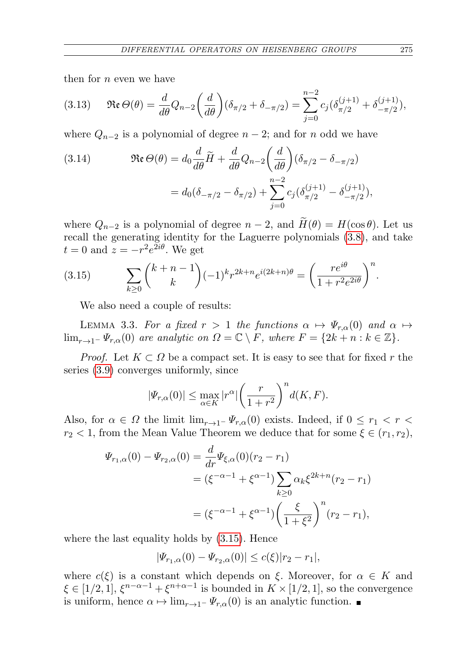then for  $n$  even we have

<span id="page-12-1"></span>
$$
(3.13) \quad \Re\mathfrak{e}\,\Theta(\theta) = \frac{d}{d\theta}Q_{n-2}\bigg(\frac{d}{d\theta}\bigg)(\delta_{\pi/2} + \delta_{-\pi/2}) = \sum_{j=0}^{n-2}c_j(\delta_{\pi/2}^{(j+1)} + \delta_{-\pi/2}^{(j+1)}),
$$

where  $Q_{n-2}$  is a polynomial of degree  $n-2$ ; and for n odd we have

<span id="page-12-2"></span>(3.14) 
$$
\mathfrak{Re}\,\Theta(\theta) = d_0 \frac{d}{d\theta} \widetilde{H} + \frac{d}{d\theta} Q_{n-2} \left(\frac{d}{d\theta}\right) (\delta_{\pi/2} - \delta_{-\pi/2})
$$

$$
= d_0 (\delta_{-\pi/2} - \delta_{\pi/2}) + \sum_{j=0}^{n-2} c_j (\delta_{\pi/2}^{(j+1)} - \delta_{-\pi/2}^{(j+1)}),
$$

where  $Q_{n-2}$  is a polynomial of degree  $n-2$ , and  $\widetilde{H}(\theta) = H(\cos \theta)$ . Let us recall the generating identity for the Laguerre polynomials [\(3.8\)](#page-9-0), and take  $t = 0$  and  $z = -r^2 e^{2i\theta}$ . We get

(3.15) 
$$
\sum_{k\geq 0} {k+n-1 \choose k} (-1)^k r^{2k+n} e^{i(2k+n)\theta} = \left(\frac{re^{i\theta}}{1+r^2 e^{2i\theta}}\right)^n.
$$

<span id="page-12-0"></span>We also need a couple of results:

<span id="page-12-3"></span>LEMMA 3.3. For a fixed  $r > 1$  the functions  $\alpha \mapsto \Psi_{r,\alpha}(0)$  and  $\alpha \mapsto$  $\lim_{r\to 1^-} \Psi_{r,\alpha}(0)$  are analytic on  $\Omega = \mathbb{C} \setminus F$ , where  $F = \{2k + n : k \in \mathbb{Z}\}.$ 

*Proof.* Let  $K \subset \Omega$  be a compact set. It is easy to see that for fixed r the series [\(3.9\)](#page-11-0) converges uniformly, since

$$
|\varPsi_{r,\alpha}(0)| \le \max_{\alpha \in K} |r^{\alpha}| \left(\frac{r}{1+r^2}\right)^n d(K,F).
$$

Also, for  $\alpha \in \Omega$  the limit  $\lim_{r\to 1^-} \Psi_{r,\alpha}(0)$  exists. Indeed, if  $0 \leq r_1 < r <$  $r_2 < 1$ , from the Mean Value Theorem we deduce that for some  $\xi \in (r_1, r_2)$ ,

$$
\Psi_{r_1,\alpha}(0) - \Psi_{r_2,\alpha}(0) = \frac{d}{dr} \Psi_{\xi,\alpha}(0)(r_2 - r_1)
$$
  
=  $(\xi^{-\alpha - 1} + \xi^{\alpha - 1}) \sum_{k \ge 0} \alpha_k \xi^{2k + n} (r_2 - r_1)$   
=  $(\xi^{-\alpha - 1} + \xi^{\alpha - 1}) \left(\frac{\xi}{1 + \xi^2}\right)^n (r_2 - r_1),$ 

where the last equality holds by [\(3.15\)](#page-12-0). Hence

$$
|\Psi_{r_1,\alpha}(0) - \Psi_{r_2,\alpha}(0)| \le c(\xi) |r_2 - r_1|,
$$

<span id="page-12-4"></span>where  $c(\xi)$  is a constant which depends on  $\xi$ . Moreover, for  $\alpha \in K$  and  $\xi \in [1/2, 1], \xi^{n-\alpha-1} + \xi^{n+\alpha-1}$  is bounded in  $K \times [1/2, 1]$ , so the convergence is uniform, hence  $\alpha \mapsto \lim_{r\to 1^-} \Psi_{r,\alpha}(0)$  is an analytic function. ■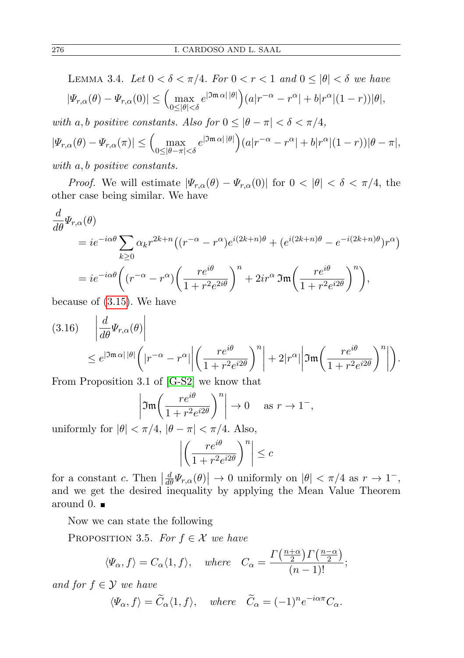LEMMA 3.4. Let  $0 < \delta < \pi/4$ . For  $0 < r < 1$  and  $0 \le |\theta| < \delta$  we have  $|\Psi_{r,\alpha}(\theta) - \Psi_{r,\alpha}(0)| \leq \left( \max_{0 \leq |\theta| < \delta} e^{|\Im \mathfrak{m} \alpha| |\theta|} \right) (a|r^{-\alpha} - r^{\alpha}| + b|r^{\alpha}|(1-r)) |\theta|,$ with a, b positive constants. Also for  $0 \le |\theta - \pi| < \delta < \pi/4$ ,  $|\Psi_{r,\alpha}(\theta) - \Psi_{r,\alpha}(\pi)| \leq \left( \max_{0 \leq |\theta - \pi| < \delta} e^{|\Im \mathfrak{m} \alpha| |\theta|} \right) (a|r^{-\alpha} - r^{\alpha}| + b|r^{\alpha}|(1-r))|\theta - \pi|,$ with a, *b* positive constants.

*Proof.* We will estimate  $|\Psi_{r,\alpha}(\theta) - \Psi_{r,\alpha}(0)|$  for  $0 < |\theta| < \delta < \pi/4$ , the other case being similar. We have

$$
\frac{d}{d\theta}\Psi_{r,\alpha}(\theta)
$$
\n
$$
= ie^{-i\alpha\theta}\sum_{k\geq 0} \alpha_k r^{2k+n} \left((r^{-\alpha} - r^{\alpha})e^{i(2k+n)\theta} + (e^{i(2k+n)\theta} - e^{-i(2k+n)\theta})r^{\alpha}\right)
$$
\n
$$
= ie^{-i\alpha\theta}\left((r^{-\alpha} - r^{\alpha})\left(\frac{re^{i\theta}}{1 + r^2e^{2i\theta}}\right)^n + 2ir^{\alpha}\mathfrak{Im}\left(\frac{re^{i\theta}}{1 + r^2e^{i2\theta}}\right)^n\right),
$$
\nbecause of (3.15). We have

because of [\(3.15\)](#page-12-0). We have

$$
(3.16) \quad \left| \frac{d}{d\theta} \Psi_{r,\alpha}(\theta) \right|
$$
  
\n
$$
\leq e^{|\Im \mathfrak{m} \alpha| |\theta|} \left( |r^{-\alpha} - r^{\alpha}| \left| \left( \frac{r e^{i\theta}}{1 + r^2 e^{i2\theta}} \right)^n \right| + 2|r^{\alpha}| \left| \Im \mathfrak{m} \left( \frac{r e^{i\theta}}{1 + r^2 e^{i2\theta}} \right)^n \right| \right).
$$

From Proposition 3.1 of [\[G-S2\]](#page-25-3) we know that

$$
\left|\mathfrak{Im}\left(\frac{re^{i\theta}}{1+r^2e^{i2\theta}}\right)^n\right| \to 0 \quad \text{as } r \to 1^-,
$$

uniformly for  $|\theta| < \pi/4$ ,  $|\theta - \pi| < \pi/4$ . Also,

$$
\left| \left( \frac{r e^{i\theta}}{1 + r^2 e^{i2\theta}} \right)^n \right| \leq c
$$

for a constant c. Then  $\left| \frac{d}{d\theta} \Psi_{r,\alpha}(\theta) \right| \to 0$  uniformly on  $|\theta| < \pi/4$  as  $r \to 1^-$ , and we get the desired inequality by applying the Mean Value Theorem around 0.  $\blacksquare$ 

Now we can state the following

PROPOSITION 3.5. For  $f \in \mathcal{X}$  we have

$$
\langle\Psi_{\alpha},f\rangle=C_{\alpha}\langle 1,f\rangle, where C_{\alpha}=\frac{\Gamma\left(\frac{n+\alpha}{2}\right)\Gamma\left(\frac{n-\alpha}{2}\right)}{(n-1)!};
$$

and for  $f \in \mathcal{Y}$  we have

$$
\langle \Psi_{\alpha}, f \rangle = \widetilde{C}_{\alpha} \langle 1, f \rangle
$$
, where  $\widetilde{C}_{\alpha} = (-1)^n e^{-i\alpha \pi} C_{\alpha}$ .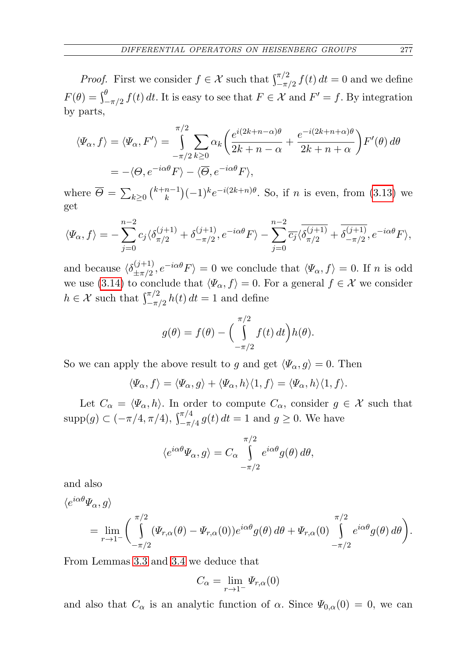*Proof.* First we consider  $f \in \mathcal{X}$  such that  $\int_{-\pi/2}^{\pi/2} f(t) dt = 0$  and we define  $F(\theta) = \int_{-\pi/2}^{\theta} f(t) dt$ . It is easy to see that  $F \in \mathcal{X}$  and  $F' = f$ . By integration by parts,

$$
\langle \Psi_{\alpha}, f \rangle = \langle \Psi_{\alpha}, F' \rangle = \int_{-\pi/2}^{\pi/2} \sum_{k \ge 0} \alpha_k \left( \frac{e^{i(2k+n-\alpha)\theta}}{2k+n-\alpha} + \frac{e^{-i(2k+n+\alpha)\theta}}{2k+n+\alpha} \right) F'(\theta) d\theta
$$

$$
= -\langle \Theta, e^{-i\alpha\theta} F \rangle - \langle \overline{\Theta}, e^{-i\alpha\theta} F \rangle,
$$

where  $\overline{\Theta} = \sum_{k \geq 0} {k+n-1 \choose k}$  ${k-1 \choose k} (-1)^k e^{-i(2k+n)\theta}$ . So, if *n* is even, from [\(3.13\)](#page-12-1) we get

$$
\langle \Psi_{\alpha}, f \rangle = -\sum_{j=0}^{n-2} c_j \langle \delta_{\pi/2}^{(j+1)} + \delta_{-\pi/2}^{(j+1)}, e^{-i\alpha\theta} F \rangle - \sum_{j=0}^{n-2} \overline{c_j} \langle \overline{\delta_{\pi/2}^{(j+1)}} + \overline{\delta_{-\pi/2}^{(j+1)}}, e^{-i\alpha\theta} F \rangle,
$$

and because  $\langle \delta^{(j+1)}_{+\pi/2} \rangle$  $\langle (J+1) \rangle_{\pm \pi/2}, e^{-i\alpha\theta} F \rangle = 0$  we conclude that  $\langle \Psi_{\alpha}, f \rangle = 0$ . If n is odd we use [\(3.14\)](#page-12-2) to conclude that  $\langle \Psi_{\alpha}, f \rangle = 0$ . For a general  $f \in \mathcal{X}$  we consider  $h \in \mathcal{X}$  such that  $\int_{-\pi/2}^{\pi/2} h(t) dt = 1$  and define

$$
g(\theta) = f(\theta) - \Big(\int_{-\pi/2}^{\pi/2} f(t) dt\Big) h(\theta).
$$

So we can apply the above result to g and get  $\langle \Psi_{\alpha}, g \rangle = 0$ . Then

$$
\langle \Psi_{\alpha}, f \rangle = \langle \Psi_{\alpha}, g \rangle + \langle \Psi_{\alpha}, h \rangle \langle 1, f \rangle = \langle \Psi_{\alpha}, h \rangle \langle 1, f \rangle.
$$

Let  $C_{\alpha} = \langle \Psi_{\alpha}, h \rangle$ . In order to compute  $C_{\alpha}$ , consider  $g \in \mathcal{X}$  such that  $\text{supp}(g) \subset (-\pi/4, \pi/4), \int_{-\pi/4}^{\pi/4} g(t) dt = 1$  and  $g \ge 0$ . We have

$$
\langle e^{i\alpha\theta}\Psi_{\alpha},g\rangle=C_{\alpha}\int_{-\pi/2}^{\pi/2}e^{i\alpha\theta}g(\theta)\,d\theta,
$$

and also

$$
\langle e^{i\alpha\theta}\Psi_{\alpha},g\rangle
$$
  
= 
$$
\lim_{r\to 1^{-}}\left(\int_{-\pi/2}^{\pi/2}(\Psi_{r,\alpha}(\theta)-\Psi_{r,\alpha}(0))e^{i\alpha\theta}g(\theta)\,d\theta+\Psi_{r,\alpha}(0)\int_{-\pi/2}^{\pi/2}e^{i\alpha\theta}g(\theta)\,d\theta\right).
$$

From Lemmas [3.3](#page-12-3) and [3.4](#page-12-4) we deduce that

$$
C_{\alpha} = \lim_{r \to 1^{-}} \Psi_{r,\alpha}(0)
$$

and also that  $C_{\alpha}$  is an analytic function of  $\alpha$ . Since  $\Psi_{0,\alpha}(0) = 0$ , we can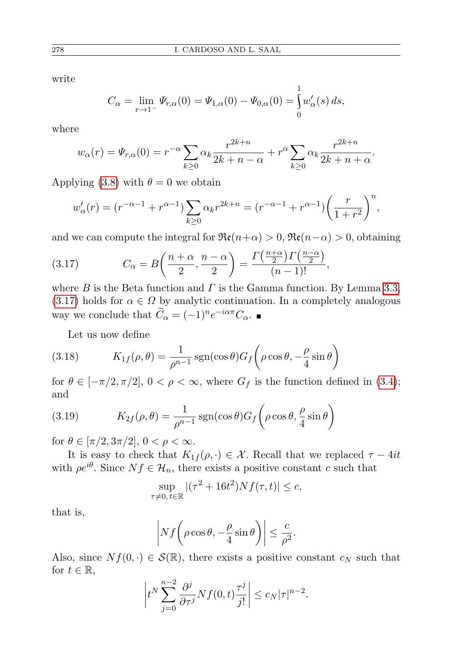write

$$
C_{\alpha} = \lim_{r \to 1^{-}} \Psi_{r,\alpha}(0) = \Psi_{1,\alpha}(0) - \Psi_{0,\alpha}(0) = \int_{0}^{1} w'_{\alpha}(s) ds,
$$

where

$$
w_{\alpha}(r) = \Psi_{r,\alpha}(0) = r^{-\alpha} \sum_{k \ge 0} \alpha_k \frac{r^{2k+n}}{2k+n-\alpha} + r^{\alpha} \sum_{k \ge 0} \alpha_k \frac{r^{2k+n}}{2k+n+\alpha}.
$$

Applying [\(3.8\)](#page-9-0) with  $\theta = 0$  we obtain

$$
w'_{\alpha}(r) = (r^{-\alpha-1} + r^{\alpha-1}) \sum_{k \ge 0} \alpha_k r^{2k+n} = (r^{-\alpha-1} + r^{\alpha-1}) \left(\frac{r}{1+r^2}\right)^n,
$$

and we can compute the integral for  $\Re(\mathbf{r}+\alpha) > 0$ ,  $\Re(\mathbf{r}-\alpha) > 0$ , obtaining

<span id="page-15-0"></span>(3.17) 
$$
C_{\alpha} = B\left(\frac{n+\alpha}{2}, \frac{n-\alpha}{2}\right) = \frac{\Gamma\left(\frac{n+\alpha}{2}\right)\Gamma\left(\frac{n-\alpha}{2}\right)}{(n-1)!},
$$

where B is the Beta function and  $\Gamma$  is the Gamma function. By Lemma [3.3,](#page-12-3)  $(3.17)$  holds for  $\alpha \in \Omega$  by analytic continuation. In a completely analogous way we conclude that  $\widetilde{C}_{\alpha} = (-1)^n e^{-i\alpha \pi} C_{\alpha}$ .

<span id="page-15-1"></span>Let us now define

(3.18) 
$$
K_{1f}(\rho,\theta) = \frac{1}{\rho^{n-1}} \operatorname{sgn}(\cos \theta) G_f\left(\rho \cos \theta, -\frac{\rho}{4} \sin \theta\right)
$$

for  $\theta \in [-\pi/2, \pi/2], 0 < \rho < \infty$ , where  $G_f$  is the function defined in [\(3.4\)](#page-7-0); and

<span id="page-15-2"></span>(3.19) 
$$
K_{2f}(\rho,\theta) = \frac{1}{\rho^{n-1}} \operatorname{sgn}(\cos \theta) G_f\left(\rho \cos \theta, \frac{\rho}{4} \sin \theta\right)
$$

for  $\theta \in [\pi/2, 3\pi/2], 0 < \rho < \infty$ .

It is easy to check that  $K_{1f}(\rho, \cdot) \in \mathcal{X}$ . Recall that we replaced  $\tau - 4it$ with  $\rho e^{i\theta}$ . Since  $Nf \in \mathcal{H}_n$ , there exists a positive constant c such that

$$
\sup_{\tau \neq 0, t \in \mathbb{R}} |(\tau^2 + 16t^2)Nf(\tau, t)| \leq c,
$$

that is,

$$
\left| Nf\bigg(\rho\cos\theta, -\frac{\rho}{4}\sin\theta\bigg) \right| \leq \frac{c}{\rho^2}.
$$

Also, since  $Nf(0, \cdot) \in \mathcal{S}(\mathbb{R})$ , there exists a positive constant  $c_N$  such that for  $t \in \mathbb{R}$ ,

$$
\left| t^N \sum_{j=0}^{n-2} \frac{\partial^j}{\partial \tau^j} Nf(0,t) \frac{\tau^j}{j!} \right| \le c_N |\tau|^{n-2}.
$$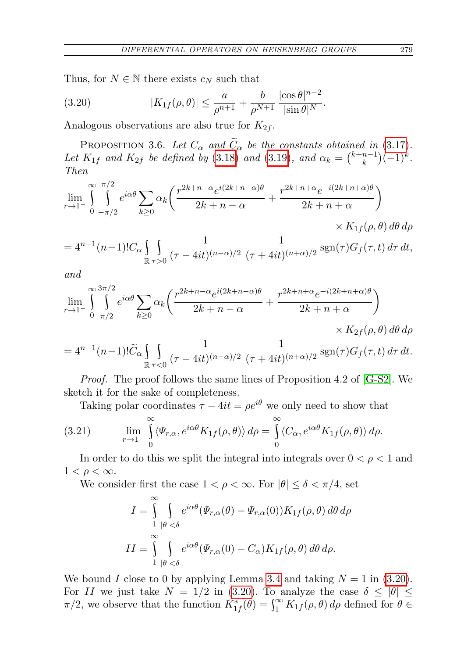Thus, for  $N \in \mathbb{N}$  there exists  $c_N$  such that

<span id="page-16-0"></span>(3.20) 
$$
|K_{1f}(\rho,\theta)| \leq \frac{a}{\rho^{n+1}} + \frac{b}{\rho^{N+1}} \frac{|\cos \theta|^{n-2}}{|\sin \theta|^{N}}.
$$

Analogous observations are also true for  $K_{2f}$ .

PROPOSITION 3.6. Let  $C_{\alpha}$  and  $\widetilde{C}_{\alpha}$  be the constants obtained in (3.[17\)](#page-15-0). Let  $K_{1f}$  and  $K_{2f}$  be defined by (3.[18\)](#page-15-1) and (3.[19\)](#page-15-2), and  $\alpha_k = \binom{k+n-1}{k}$  $\binom{n-1}{k}(-1)^k$ . Then

$$
\lim_{r \to 1^{-}} \int_{0}^{\infty} \int_{-\pi/2}^{\pi/2} e^{i\alpha\theta} \sum_{k \ge 0} \alpha_k \left( \frac{r^{2k+n-\alpha} e^{i(2k+n-\alpha)\theta}}{2k+n-\alpha} + \frac{r^{2k+n+\alpha} e^{-i(2k+n+\alpha)\theta}}{2k+n+\alpha} \right) \times K_{1f}(\rho, \theta) d\theta d\rho
$$

$$
= 4^{n-1}(n-1)!C_{\alpha}\int_{\mathbb{R}}\int_{\tau>0} \frac{1}{(\tau-4it)^{(n-\alpha)/2}}\frac{1}{(\tau+4it)^{(n+\alpha)/2}}\, \text{sgn}(\tau)G_f(\tau,t)\,d\tau\,dt,
$$

and

$$
\lim_{r \to 1^{-}} \int_{0}^{\infty} \int_{\pi/2}^{3\pi/2} e^{i\alpha\theta} \sum_{k \ge 0} \alpha_k \left( \frac{r^{2k+n-\alpha} e^{i(2k+n-\alpha)\theta}}{2k+n-\alpha} + \frac{r^{2k+n+\alpha} e^{-i(2k+n+\alpha)\theta}}{2k+n+\alpha} \right) \times K_{2f}(\rho, \theta) d\theta d\rho
$$

$$
=4^{n-1}(n-1)!\widetilde{C}_{\alpha}\int\limits_{\mathbb{R}}\int\limits_{\tau<0}\frac{1}{(\tau-4it)^{(n-\alpha)/2}}\,\frac{1}{(\tau+4it)^{(n+\alpha)/2}}\,\text{sgn}(\tau)G_f(\tau,t)\,d\tau\,dt.
$$

Proof. The proof follows the same lines of Proposition 4.2 of [\[G-S2\]](#page-25-3). We sketch it for the sake of completeness.

Taking polar coordinates  $\tau - 4it = \rho e^{i\theta}$  we only need to show that

(3.21) 
$$
\lim_{r \to 1^{-}} \int_{0}^{\infty} \langle \Psi_{r,\alpha}, e^{i\alpha\theta} K_{1f}(\rho, \theta) \rangle d\rho = \int_{0}^{\infty} \langle C_{\alpha}, e^{i\alpha\theta} K_{1f}(\rho, \theta) \rangle d\rho.
$$

In order to do this we split the integral into integrals over  $0 < \rho < 1$  and  $1 < \rho < \infty$ .

We consider first the case  $1 < \rho < \infty$ . For  $|\theta| \leq \delta < \pi/4$ , set

$$
I = \int_{1}^{\infty} \int_{|\theta| < \delta} e^{i\alpha\theta} (\Psi_{r,\alpha}(\theta) - \Psi_{r,\alpha}(0)) K_{1f}(\rho, \theta) d\theta d\rho
$$
  

$$
II = \int_{1}^{\infty} \int_{|\theta| < \delta} e^{i\alpha\theta} (\Psi_{r,\alpha}(0) - C_{\alpha}) K_{1f}(\rho, \theta) d\theta d\rho.
$$

We bound I close to 0 by applying Lemma [3.4](#page-12-4) and taking  $N = 1$  in [\(3.20\)](#page-16-0). For II we just take  $N = 1/2$  in [\(3.20\)](#page-16-0). To analyze the case  $\delta \le |\theta| \le$  $\pi/2$ , we observe that the function  $K^*_{1f}(\theta) = \int_1^\infty K^*_{1f}(\rho,\theta) d\rho$  defined for  $\theta \in$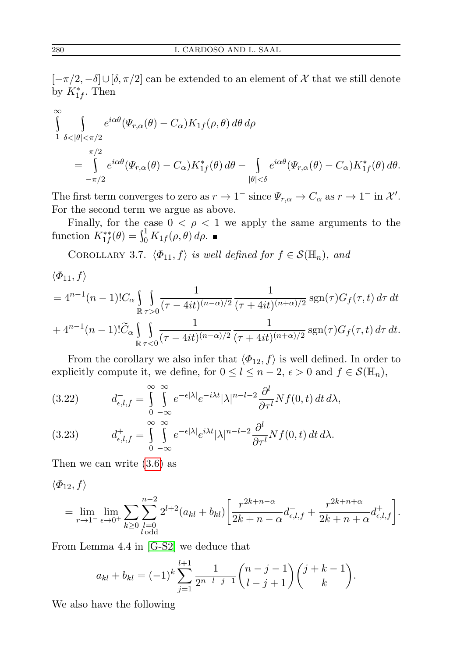[ $-\pi/2, -\delta$ ]∪[δ,  $\pi/2$ ] can be extended to an element of  $\mathcal X$  that we still denote by  $K_{1f}^*$ . Then

$$
\int_{1}^{\infty} \int_{\delta < |\theta| < \pi/2} e^{i\alpha \theta} (\Psi_{r,\alpha}(\theta) - C_{\alpha}) K_{1f}(\rho, \theta) d\theta d\rho
$$
\n
$$
= \int_{-\pi/2}^{\pi/2} e^{i\alpha \theta} (\Psi_{r,\alpha}(\theta) - C_{\alpha}) K_{1f}^*(\theta) d\theta - \int_{|\theta| < \delta} e^{i\alpha \theta} (\Psi_{r,\alpha}(\theta) - C_{\alpha}) K_{1f}^*(\theta) d\theta.
$$

The first term converges to zero as  $r \to 1^-$  since  $\Psi_{r,\alpha} \to C_\alpha$  as  $r \to 1^-$  in  $\mathcal{X}'$ . For the second term we argue as above.

Finally, for the case  $0 < \rho < 1$  we apply the same arguments to the function  $K_{1f}^{**}(\theta) = \int_0^1 K_{1f}(\rho, \theta) d\rho$ .

COROLLARY 3.7.  $\langle \Phi_{11}, f \rangle$  is well defined for  $f \in \mathcal{S}(\mathbb{H}_n)$ , and

$$
\langle \Phi_{11}, f \rangle
$$
  
=  $4^{n-1}(n-1)!C_{\alpha} \int_{\mathbb{R}} \int_{\tau>0} \frac{1}{(\tau-4it)^{(n-\alpha)/2}} \frac{1}{(\tau+4it)^{(n+\alpha)/2}} \operatorname{sgn}(\tau) G_f(\tau, t) d\tau dt$   
+  $4^{n-1}(n-1)!\widetilde{C}_{\alpha} \int_{\mathbb{R}} \int_{\tau<0} \frac{1}{(\tau-4it)^{(n-\alpha)/2}} \frac{1}{(\tau+4it)^{(n+\alpha)/2}} \operatorname{sgn}(\tau) G_f(\tau, t) d\tau dt.$ 

From the corollary we also infer that  $\langle \Phi_{12}, f \rangle$  is well defined. In order to explicitly compute it, we define, for  $0 \leq l \leq n-2$ ,  $\epsilon > 0$  and  $f \in \mathcal{S}(\mathbb{H}_n)$ ,

(3.22) 
$$
d_{\epsilon,l,f}^- = \int_{0}^{\infty} \int_{-\infty}^{\infty} e^{-\epsilon|\lambda|} e^{-i\lambda t} |\lambda|^{n-l-2} \frac{\partial^l}{\partial \tau^l} Nf(0,t) dt d\lambda,
$$

(3.23) 
$$
d^+_{\epsilon,l,f} = \int_{0}^{\infty} \int_{-\infty}^{\infty} e^{-\epsilon|\lambda|} e^{i\lambda t} |\lambda|^{n-l-2} \frac{\partial^l}{\partial \tau^l} Nf(0,t) dt d\lambda.
$$

Then we can write [\(3.6\)](#page-8-1) as

 $\langle \Phi_{12}, f \rangle$ 

$$
= \lim_{r \to 1^{-}} \lim_{\epsilon \to 0^{+}} \sum_{k \geq 0} \sum_{\substack{l=0 \ l \text{ odd}}}^{n-2} 2^{l+2} (a_{kl} + b_{kl}) \left[ \frac{r^{2k+n-\alpha}}{2k+n-\alpha} d^{-}_{\epsilon,l,f} + \frac{r^{2k+n+\alpha}}{2k+n+\alpha} d^{+}_{\epsilon,l,f} \right].
$$

From Lemma 4.4 in [\[G-S2\]](#page-25-3) we deduce that

$$
a_{kl} + b_{kl} = (-1)^k \sum_{j=1}^{l+1} \frac{1}{2^{n-l-j-1}} {n-j-1 \choose l-j+1} {j+k-1 \choose k}.
$$

<span id="page-17-0"></span>We also have the following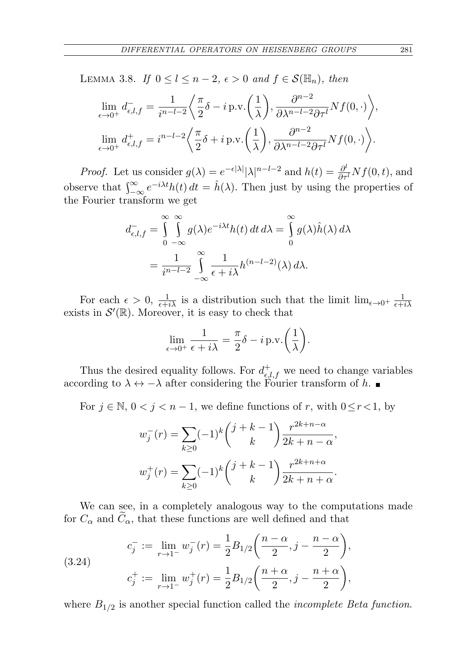LEMMA 3.8. If  $0 \leq l \leq n-2$ ,  $\epsilon > 0$  and  $f \in \mathcal{S}(\mathbb{H}_n)$ , then

$$
\lim_{\epsilon \to 0^+} d_{\epsilon,l,f}^- = \frac{1}{i^{n-l-2}} \left\langle \frac{\pi}{2} \delta - i \operatorname{p.v.} \left( \frac{1}{\lambda} \right), \frac{\partial^{n-2}}{\partial \lambda^{n-l-2} \partial \tau^l} Nf(0, \cdot) \right\rangle,
$$
  

$$
\lim_{\epsilon \to 0^+} d_{\epsilon,l,f}^+ = i^{n-l-2} \left\langle \frac{\pi}{2} \delta + i \operatorname{p.v.} \left( \frac{1}{\lambda} \right), \frac{\partial^{n-2}}{\partial \lambda^{n-l-2} \partial \tau^l} Nf(0, \cdot) \right\rangle.
$$

*Proof.* Let us consider  $g(\lambda) = e^{-\epsilon |\lambda|} |\lambda|^{n-l-2}$  and  $h(t) = \frac{\partial^l}{\partial \tau^l} Nf(0, t)$ , and observe that  $\int_{-\infty}^{\infty} e^{-i\lambda t} h(t) dt = \hat{h}(\lambda)$ . Then just by using the properties of the Fourier transform we get

$$
d_{\epsilon,l,f}^{-} = \int_{0}^{\infty} \int_{-\infty}^{\infty} g(\lambda)e^{-i\lambda t}h(t) dt d\lambda = \int_{0}^{\infty} g(\lambda)\hat{h}(\lambda) d\lambda
$$
  
= 
$$
\frac{1}{i^{n-l-2}} \int_{-\infty}^{\infty} \frac{1}{\epsilon + i\lambda} h^{(n-l-2)}(\lambda) d\lambda.
$$

For each  $\epsilon > 0$ ,  $\frac{1}{\epsilon + i\lambda}$  is a distribution such that the limit  $\lim_{\epsilon \to 0^+} \frac{1}{\epsilon + i\lambda}$  $\epsilon+i\lambda$ exists in  $\mathcal{S}'(\mathbb{R})$ . Moreover, it is easy to check that

$$
\lim_{\epsilon \to 0^+} \frac{1}{\epsilon + i\lambda} = \frac{\pi}{2}\delta - i \operatorname{p.v.}\left(\frac{1}{\lambda}\right).
$$

Thus the desired equality follows. For  $d^+_{\epsilon,l,f}$  we need to change variables according to  $\lambda \leftrightarrow -\lambda$  after considering the Fourier transform of h.

For  $j \in \mathbb{N}$ ,  $0 < j < n - 1$ , we define functions of r, with  $0 \le r < 1$ , by

$$
w_j^-(r) = \sum_{k\geq 0} (-1)^k {j+k-1 \choose k} \frac{r^{2k+n-\alpha}}{2k+n-\alpha},
$$
  

$$
w_j^+(r) = \sum_{k\geq 0} (-1)^k {j+k-1 \choose k} \frac{r^{2k+n+\alpha}}{2k+n+\alpha}.
$$

We can see, in a completely analogous way to the computations made for  $C_{\alpha}$  and  $\tilde{C}_{\alpha}$ , that these functions are well defined and that

(3.24) 
$$
c_j^- := \lim_{r \to 1^-} w_j^-(r) = \frac{1}{2} B_{1/2} \left( \frac{n - \alpha}{2}, j - \frac{n - \alpha}{2} \right),
$$

$$
c_j^+ := \lim_{r \to 1^-} w_j^+(r) = \frac{1}{2} B_{1/2} \left( \frac{n + \alpha}{2}, j - \frac{n + \alpha}{2} \right),
$$

where  $B_{1/2}$  is another special function called the *incomplete Beta function*.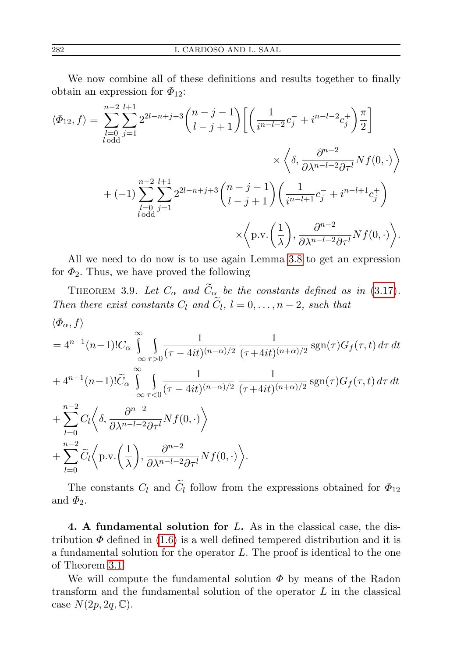We now combine all of these definitions and results together to finally obtain an expression for  $\Phi_{12}$ :

$$
\langle \Phi_{12}, f \rangle = \sum_{l=0}^{n-2} \sum_{j=1}^{l+1} 2^{2l-n+j+3} {n-j \choose l-j+1} \left[ \left( \frac{1}{i^{n-l-2}} c_j^- + i^{n-l-2} c_j^+ \right) \frac{\pi}{2} \right]
$$

$$
\times \left\langle \delta, \frac{\partial^{n-2}}{\partial \lambda^{n-l-2} \partial \tau^l} Nf(0, \cdot) \right\rangle
$$

$$
+ (-1) \sum_{l=0}^{n-2} \sum_{j=1}^{l+1} 2^{2l-n+j+3} {n-j-1 \choose l-j+1} \left( \frac{1}{i^{n-l+1}} c_j^- + i^{n-l+1} c_j^+ \right)
$$

$$
\times \left\langle \mathbf{p} \cdot \mathbf{v} \cdot \left( \frac{1}{\lambda} \right), \frac{\partial^{n-2}}{\partial \lambda^{n-l-2} \partial \tau^l} Nf(0, \cdot) \right\rangle.
$$

All we need to do now is to use again Lemma [3.8](#page-17-0) to get an expression for  $\Phi_2$ . Thus, we have proved the following

<span id="page-19-0"></span>THEOREM 3.9. Let  $C_{\alpha}$  and  $\widetilde{C}_{\alpha}$  be the constants defined as in (3.[17\)](#page-15-0). Then there exist constants  $C_l$  and  $C_l$ ,  $l = 0, \ldots, n-2$ , such that  $\langle \Phi_\alpha, f \rangle$ 

$$
=4^{n-1}(n-1)C_{\alpha}\int_{-\infty}^{\infty}\int_{\tau>0} \frac{1}{(\tau-4it)^{(n-\alpha)/2}}\frac{1}{(\tau+4it)^{(n+\alpha)/2}}\operatorname{sgn}(\tau)G_{f}(\tau,t)\,d\tau\,dt
$$
  
+4^{n-1}(n-1)C\_{\alpha}\int\_{-\infty}^{\infty}\int\_{\tau<0} \frac{1}{(\tau-4it)^{(n-\alpha)/2}}\frac{1}{(\tau+4it)^{(n+\alpha)/2}}\operatorname{sgn}(\tau)G\_{f}(\tau,t)\,d\tau\,dt  
+ \sum\_{l=0}^{n-2}C\_{l}\left\langle \delta,\frac{\partial^{n-2}}{\partial\lambda^{n-l-2}\partial\tau^{l}}Nf(0,\cdot)\right\rangle  
+ \sum\_{l=0}^{n-2}\widetilde{C}\_{l}\left\langle \operatorname{p.v.}\left(\frac{1}{\lambda}\right),\frac{\partial^{n-2}}{\partial\lambda^{n-l-2}\partial\tau^{l}}Nf(0,\cdot)\right\rangle.

The constants  $C_l$  and  $C_l$  follow from the expressions obtained for  $\Phi_{12}$ and  $\Phi_2$ .

4. A fundamental solution for  $L$ . As in the classical case, the distribution  $\Phi$  defined in [\(1.6\)](#page-2-3) is a well defined tempered distribution and it is a fundamental solution for the operator L. The proof is identical to the one of Theorem [3.1.](#page-4-0)

We will compute the fundamental solution  $\Phi$  by means of the Radon transform and the fundamental solution of the operator  $L$  in the classical case  $N(2p, 2q, \mathbb{C}).$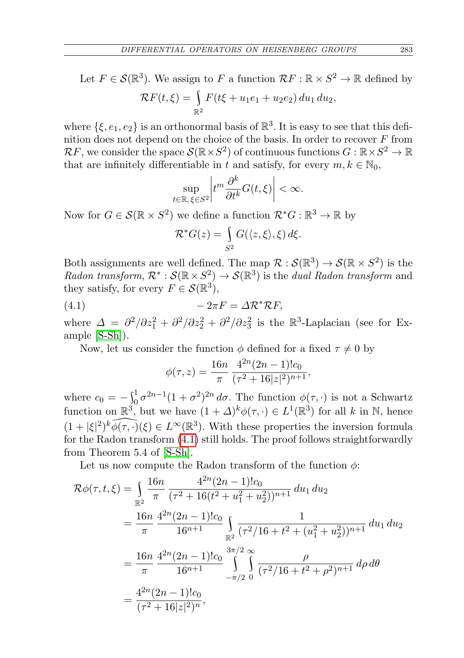Let  $F \in \mathcal{S}(\mathbb{R}^3)$ . We assign to F a function  $\mathcal{R}F : \mathbb{R} \times S^2 \to \mathbb{R}$  defined by  $\mathcal{R}F(t,\xi) = \int$  $\mathbb{R}^2$  $F(t\xi + u_1e_1 + u_2e_2) du_1 du_2$ 

where  $\{\xi, e_1, e_2\}$  is an orthonormal basis of  $\mathbb{R}^3$ . It is easy to see that this definition does not depend on the choice of the basis. In order to recover  $F$  from  $\mathcal{R}F$ , we consider the space  $\mathcal{S}(\mathbb{R}\times S^2)$  of continuous functions  $G: \mathbb{R}\times S^2 \to \mathbb{R}$ that are infinitely differentiable in t and satisfy, for every  $m, k \in \mathbb{N}_0$ ,

$$
\sup_{t\in\mathbb{R},\,\xi\in S^2}\left|t^m\frac{\partial^k}{\partial t^k}G(t,\xi)\right|<\infty.
$$

Now for  $G \in \mathcal{S}(\mathbb{R} \times S^2)$  we define a function  $\mathcal{R}^*G : \mathbb{R}^3 \to \mathbb{R}$  by

$$
\mathcal{R}^*G(z) = \int_{S^2} G(\langle z, \xi \rangle, \xi) d\xi.
$$

Both assignments are well defined. The map  $\mathcal{R}: \mathcal{S}(\mathbb{R}^3) \to \mathcal{S}(\mathbb{R} \times S^2)$  is the Radon transform,  $\mathcal{R}^* : \mathcal{S}(\mathbb{R} \times S^2) \to \mathcal{S}(\mathbb{R}^3)$  is the dual Radon transform and they satisfy, for every  $F \in \mathcal{S}(\mathbb{R}^3)$ ,

$$
(4.1) \t\t -2\pi F = \Delta \mathcal{R}^* \mathcal{R} F,
$$

where  $\Delta = \frac{\partial^2}{\partial z_1^2} + \frac{\partial^2}{\partial z_2^2} + \frac{\partial^2}{\partial z_3^2}$  is the  $\mathbb{R}^3$ -Laplacian (see for Example [\[S-Sh\]](#page-25-11)).

Now, let us consider the function  $\phi$  defined for a fixed  $\tau \neq 0$  by

<span id="page-20-0"></span>
$$
\phi(\tau, z) = \frac{16n}{\pi} \frac{4^{2n} (2n - 1)! c_0}{(\tau^2 + 16|z|^2)^{n+1}},
$$

where  $c_0 = -\int_0^1 \sigma^{2n-1}(1+\sigma^2)^{2n} d\sigma$ . The function  $\phi(\tau, \cdot)$  is not a Schwartz function on  $\mathbb{R}^3$ , but we have  $(1 + \Delta)^k \phi(\tau, \cdot) \in L^1(\mathbb{R}^3)$  for all k in N, hence  $(1+|\xi|^2)^k \widehat{\phi(\tau,\cdot)}(\xi) \in L^\infty(\mathbb{R}^3)$ . With these properties the inversion formula for the Radon transform [\(4.1\)](#page-20-0) still holds. The proof follows straightforwardly from Theorem 5.4 of [\[S-Sh\]](#page-25-11).

Let us now compute the Radon transform of the function  $\phi$ :

$$
\mathcal{R}\phi(\tau,t,\xi) = \int_{\mathbb{R}^2} \frac{16n}{\pi} \frac{4^{2n}(2n-1)!c_0}{(\tau^2 + 16(t^2 + u_1^2 + u_2^2))^{n+1}} du_1 du_2
$$
  
= 
$$
\frac{16n}{\pi} \frac{4^{2n}(2n-1)!c_0}{16^{n+1}} \int_{\mathbb{R}^2} \frac{1}{(\tau^2/16 + t^2 + (u_1^2 + u_2^2))^{n+1}} du_1 du_2
$$
  
= 
$$
\frac{16n}{\pi} \frac{4^{2n}(2n-1)!c_0}{16^{n+1}} \int_{-\pi/2}^{3\pi/2} \int_{0}^{\infty} \frac{\rho}{(\tau^2/16 + t^2 + \rho^2)^{n+1}} d\rho d\theta
$$
  
= 
$$
\frac{4^{2n}(2n-1)!c_0}{(\tau^2 + 16|z|^2)^n},
$$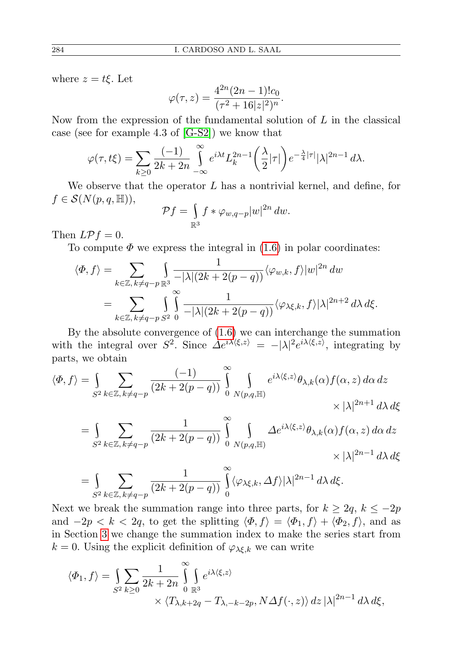where  $z = t \xi$ . Let

$$
\varphi(\tau,z) = \frac{4^{2n}(2n-1)!c_0}{(\tau^2 + 16|z|^2)^n}.
$$

Now from the expression of the fundamental solution of  $L$  in the classical case (see for example 4.3 of [\[G-S2\]](#page-25-3)) we know that

$$
\varphi(\tau, t\xi) = \sum_{k \ge 0} \frac{(-1)}{2k + 2n} \int_{-\infty}^{\infty} e^{i\lambda t} L_k^{2n-1} \left(\frac{\lambda}{2} |\tau|\right) e^{-\frac{\lambda}{4} |\tau|} |\lambda|^{2n-1} d\lambda.
$$

We observe that the operator  $L$  has a nontrivial kernel, and define, for  $f \in \mathcal{S}(N(p,q,\mathbb{H})),$ 

$$
\mathcal{P}f = \int_{\mathbb{R}^3} f * \varphi_{w,q-p} |w|^{2n} \, dw.
$$

Then  $L\mathcal{P}f=0$ .

To compute  $\Phi$  we express the integral in [\(1.6\)](#page-2-3) in polar coordinates:

$$
\langle \Phi, f \rangle = \sum_{k \in \mathbb{Z}, k \neq q-p} \int_{\mathbb{R}^3} \frac{1}{-|\lambda|(2k+2(p-q))} \langle \varphi_{w,k}, f \rangle |w|^{2n} dw
$$
  
= 
$$
\sum_{k \in \mathbb{Z}, k \neq q-p} \int_{S^2} \int_{S^2} \frac{1}{-|\lambda|(2k+2(p-q))} \langle \varphi_{\lambda \xi,k}, f \rangle |\lambda|^{2n+2} d\lambda d\xi.
$$

By the absolute convergence of [\(1.6\)](#page-2-3) we can interchange the summation with the integral over  $S^2$ . Since  $\Delta e^{i\lambda\langle\xi,z\rangle} = -|\lambda|^2 e^{i\lambda\langle\xi,z\rangle}$ , integrating by parts, we obtain

$$
\langle \Phi, f \rangle = \int_{S^2} \sum_{k \in \mathbb{Z}, k \neq q-p} \frac{(-1)}{(2k + 2(p-q))} \int_{0}^{\infty} \int_{N(p,q,\mathbb{H})} e^{i\lambda \langle \xi, z \rangle} \theta_{\lambda,k}(\alpha) f(\alpha, z) d\alpha dz
$$

$$
\times |\lambda|^{2n+1} d\lambda d\xi
$$

$$
= \int_{S^2} \sum_{k \in \mathbb{Z}, k \neq q-p} \frac{1}{(2k + 2(p-q))} \int_{0}^{\infty} \int_{N(p,q,\mathbb{H})} \Delta e^{i\lambda \langle \xi, z \rangle} \theta_{\lambda,k}(\alpha) f(\alpha, z) d\alpha dz
$$
  

$$
= \int_{S^2} \sum_{k \in \mathbb{Z}, k \neq q-p} \frac{1}{(2k + 2(p-q))} \int_{0}^{\infty} \langle \varphi_{\lambda\xi,k}, \Delta f \rangle |\lambda|^{2n-1} d\lambda d\xi.
$$

Next we break the summation range into three parts, for  $k \geq 2q$ ,  $k \leq -2p$ and  $-2p < k < 2q$ , to get the splitting  $\langle \Phi, f \rangle = \langle \Phi_1, f \rangle + \langle \Phi_2, f \rangle$ , and as in Section [3](#page-4-3) we change the summation index to make the series start from  $k = 0$ . Using the explicit definition of  $\varphi_{\lambda \xi, k}$  we can write

$$
\langle \Phi_1, f \rangle = \int_{S^2} \sum_{k \ge 0} \frac{1}{2k + 2n} \int_{0}^{\infty} \int_{\mathbb{R}^3} e^{i\lambda \langle \xi, z \rangle} \times \langle T_{\lambda, k + 2q} - T_{\lambda, -k - 2p}, N \Delta f(\cdot, z) \rangle \, dz \, |\lambda|^{2n - 1} \, d\lambda \, d\xi,
$$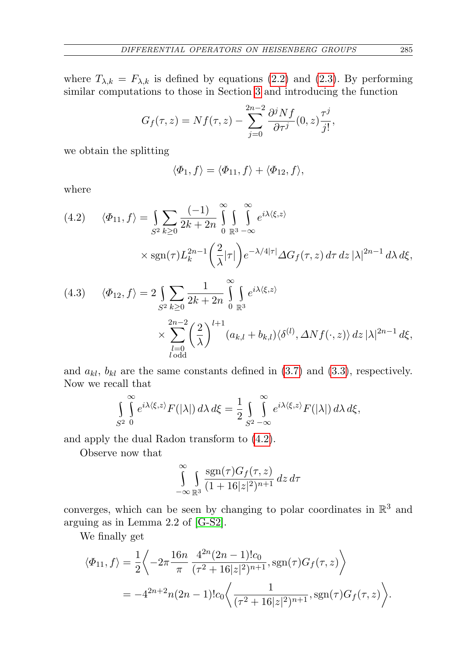where  $T_{\lambda,k} = F_{\lambda,k}$  is defined by equations [\(2.2\)](#page-4-1) and [\(2.3\)](#page-4-2). By performing similar computations to those in Section [3](#page-4-3) and introducing the function

$$
G_f(\tau, z) = Nf(\tau, z) - \sum_{j=0}^{2n-2} \frac{\partial^j Nf}{\partial \tau^j}(0, z) \frac{\tau^j}{j!},
$$

we obtain the splitting

$$
\langle \Phi_1, f \rangle = \langle \Phi_{11}, f \rangle + \langle \Phi_{12}, f \rangle,
$$

where

<span id="page-22-0"></span>(4.2) 
$$
\langle \Phi_{11}, f \rangle = \int_{S^2} \sum_{k \ge 0} \frac{(-1)}{2k + 2n} \int_{0}^{\infty} \int_{\mathbb{R}^3} \int_{-\infty}^{\infty} e^{i\lambda \langle \xi, z \rangle} \times \text{sgn}(\tau) L_k^{2n-1} \left( \frac{2}{\lambda} |\tau| \right) e^{-\lambda/4|\tau|} \Delta G_f(\tau, z) d\tau dz |\lambda|^{2n-1} d\lambda d\xi,
$$
  
(4.3) 
$$
\langle \Phi_{12}, f \rangle = 2 \int \sum \frac{1}{\lambda} \int_{-\infty}^{\infty} \int_{-\infty}^{\infty} e^{i\lambda \langle \xi, z \rangle} d\tau d\xi,
$$

$$
(4.3) \quad \langle \Phi_{12}, f \rangle = 2 \int_{S^2} \sum_{k \ge 0} \frac{1}{2k + 2n} \int_{0}^{\infty} \int_{\mathbb{R}^3} e^{i\lambda \langle \xi, z \rangle} \times \sum_{\substack{l=0 \ l \text{ odd}}}^{2n-2} \left(\frac{2}{\lambda}\right)^{l+1} (a_{k,l} + b_{k,l}) \langle \delta^{(l)}, \Delta N f(\cdot, z) \rangle \, dz \, |\lambda|^{2n-1} \, d\xi,
$$

and  $a_{kl}$ ,  $b_{kl}$  are the same constants defined in [\(3.7\)](#page-8-2) and [\(3.3\)](#page-7-1), respectively. Now we recall that

$$
\int_{S^2} \int_{0}^{\infty} e^{i\lambda\langle \xi, z \rangle} F(|\lambda|) d\lambda d\xi = \frac{1}{2} \int_{S^2 - \infty}^{\infty} e^{i\lambda\langle \xi, z \rangle} F(|\lambda|) d\lambda d\xi,
$$

and apply the dual Radon transform to [\(4.2\)](#page-22-0).

Observe now that

$$
\int_{-\infty}^{\infty} \int_{\mathbb{R}^3} \frac{\operatorname{sgn}(\tau) G_f(\tau,z)}{(1+16|z|^2)^{n+1}} dz d\tau
$$

converges, which can be seen by changing to polar coordinates in  $\mathbb{R}^3$  and arguing as in Lemma 2.2 of [\[G-S2\]](#page-25-3).

We finally get

$$
\langle \Phi_{11}, f \rangle = \frac{1}{2} \left\langle -2\pi \frac{16n}{\pi} \frac{4^{2n} (2n-1)! c_0}{(\tau^2 + 16|z|^2)^{n+1}}, \text{sgn}(\tau) G_f(\tau, z) \right\rangle
$$
  
=  $-4^{2n+2} n (2n-1)! c_0 \left\langle \frac{1}{(\tau^2 + 16|z|^2)^{n+1}}, \text{sgn}(\tau) G_f(\tau, z) \right\rangle.$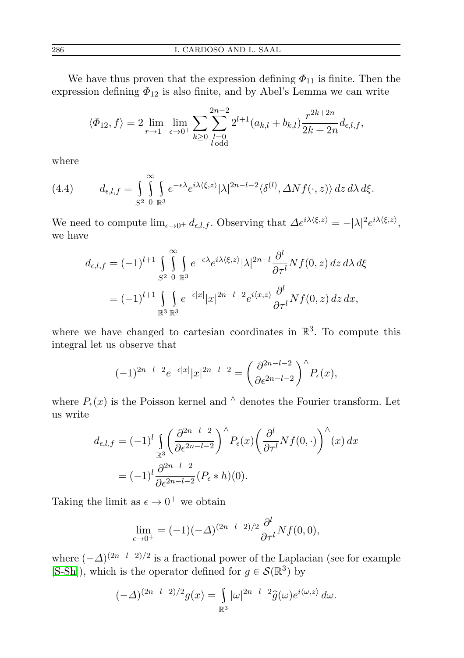We have thus proven that the expression defining  $\Phi_{11}$  is finite. Then the expression defining  $\Phi_{12}$  is also finite, and by Abel's Lemma we can write

$$
\langle \Phi_{12}, f \rangle = 2 \lim_{r \to 1^-} \lim_{\epsilon \to 0^+} \sum_{k \ge 0} \sum_{\substack{l=0 \ l \text{ odd}}}^{2n-2} 2^{l+1} (a_{k,l} + b_{k,l}) \frac{r^{2k+2n}}{2k+2n} d_{\epsilon,l,f},
$$

where

(4.4) 
$$
d_{\epsilon,l,f} = \int_{S^2} \int_{\mathbb{R}^3} e^{-\epsilon \lambda} e^{i\lambda \langle \xi, z \rangle} |\lambda|^{2n-l-2} \langle \delta^{(l)}, \Delta N f(\cdot, z) \rangle dz d\lambda d\xi.
$$

We need to compute  $\lim_{\epsilon \to 0^+} d_{\epsilon,l,f}$ . Observing that  $\Delta e^{i\lambda \langle \xi, z \rangle} = -|\lambda|^2 e^{i\lambda \langle \xi, z \rangle}$ , we have

$$
d_{\epsilon,l,f} = (-1)^{l+1} \int_{S^2}^{\infty} \int_{\mathbb{R}^3} e^{-\epsilon \lambda} e^{i\lambda \langle \xi, z \rangle} |\lambda|^{2n-l} \frac{\partial^l}{\partial \tau^l} Nf(0, z) dz d\lambda d\xi
$$
  
= 
$$
(-1)^{l+1} \int_{\mathbb{R}^3} \int_{\mathbb{R}^3} e^{-\epsilon |x|} |x|^{2n-l-2} e^{i \langle x, z \rangle} \frac{\partial^l}{\partial \tau^l} Nf(0, z) dz dx,
$$

where we have changed to cartesian coordinates in  $\mathbb{R}^3$ . To compute this integral let us observe that

$$
(-1)^{2n-l-2}e^{-\epsilon|x|}|x|^{2n-l-2} = \left(\frac{\partial^{2n-l-2}}{\partial \epsilon^{2n-l-2}}\right)^{\wedge} P_{\epsilon}(x),
$$

where  $P_{\epsilon}(x)$  is the Poisson kernel and  $\wedge$  denotes the Fourier transform. Let us write

$$
d_{\epsilon,l,f} = (-1)^l \iint\limits_{\mathbb{R}^3} \left( \frac{\partial^{2n-l-2}}{\partial \epsilon^{2n-l-2}} \right)^{\wedge} P_{\epsilon}(x) \left( \frac{\partial^l}{\partial \tau^l} Nf(0, \cdot) \right)^{\wedge}(x) dx
$$
  
= 
$$
(-1)^l \frac{\partial^{2n-l-2}}{\partial \epsilon^{2n-l-2}} (P_{\epsilon} * h)(0).
$$

Taking the limit as  $\epsilon \to 0^+$  we obtain

$$
\lim_{\epsilon \to 0^+} = (-1)(-\Delta)^{(2n-l-2)/2} \frac{\partial^l}{\partial \tau^l} N f(0,0),
$$

where  $(-\Delta)^{(2n-l-2)/2}$  is a fractional power of the Laplacian (see for example  $[S-Sh]$ , which is the operator defined for  $g \in \mathcal{S}(\mathbb{R}^3)$  by

$$
(-\varDelta)^{(2n-l-2)/2}g(x)=\int\limits_{\mathbb R^3}|\omega|^{2n-l-2}\widehat{g}(\omega)e^{i\langle\omega,z\rangle}\,d\omega.
$$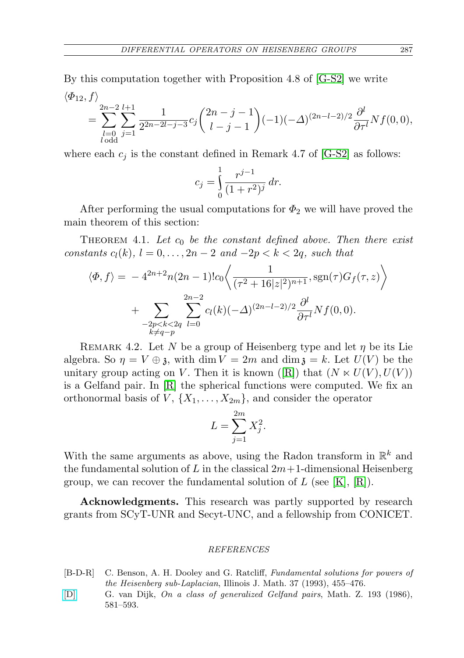By this computation together with Proposition 4.8 of [\[G-S2\]](#page-25-3) we write  $\langle \Phi_{12}, f \rangle$ 

$$
= \sum_{\substack{l=0 \ l \text{ odd}}}^{2n-2} \sum_{j=1}^{l+1} \frac{1}{2^{2n-2l-j-3}} c_j {2n-j-1 \choose l-j-1} (-1)(-\Delta)^{(2n-l-2)/2} \frac{\partial^l}{\partial \tau^l} Nf(0,0),
$$

where each  $c_i$  is the constant defined in Remark 4.7 of [\[G-S2\]](#page-25-3) as follows:

$$
c_j = \int_0^1 \frac{r^{j-1}}{(1+r^2)^j} dr.
$$

After performing the usual computations for  $\Phi_2$  we will have proved the main theorem of this section:

<span id="page-24-2"></span>THEOREM 4.1. Let  $c_0$  be the constant defined above. Then there exist constants  $c_l(k)$ ,  $l = 0, \ldots, 2n - 2$  and  $-2p < k < 2q$ , such that

$$
\langle \Phi, f \rangle = -4^{2n+2} n (2n-1)! c_0 \left\langle \frac{1}{(\tau^2 + 16|z|^2)^{n+1}}, \text{sgn}(\tau) G_f(\tau, z) \right\rangle
$$

$$
+ \sum_{\substack{-2p < k < 2q \\ k \neq q-p}} \sum_{l=0}^{2n-2} c_l(k) (-\Delta)^{(2n-l-2)/2} \frac{\partial^l}{\partial \tau^l} N f(0, 0).
$$

REMARK 4.2. Let N be a group of Heisenberg type and let  $\eta$  be its Lie algebra. So  $\eta = V \oplus \mathfrak{z}$ , with dim  $V = 2m$  and dim  $\mathfrak{z} = k$ . Let  $U(V)$  be the unitary group acting on V. Then it is known ([\[R\]](#page-25-7)) that  $(N \ltimes U(V), U(V))$ is a Gelfand pair. In  $[R]$  the spherical functions were computed. We fix an orthonormal basis of  $V$ ,  $\{X_1, \ldots, X_{2m}\}$ , and consider the operator

$$
L = \sum_{j=1}^{2m} X_j^2.
$$

With the same arguments as above, using the Radon transform in  $\mathbb{R}^k$  and the fundamental solution of L in the classical  $2m+1$ -dimensional Heisenberg group, we can recover the fundamental solution of  $L$  (see [\[K\]](#page-25-2), [\[R\]](#page-25-7)).

Acknowledgments. This research was partly supported by research grants from SCyT-UNR and Secyt-UNC, and a fellowship from CONICET.

## REFERENCES

- <span id="page-24-0"></span>[B-D-R] C. Benson, A. H. Dooley and G. Ratcliff, Fundamental solutions for powers of the Heisenberg sub-Laplacian, Illinois J. Math. 37 (1993), 455–476.
- <span id="page-24-1"></span>[\[D\]](http://dx.doi.org/10.1007/BF01160476) G. van Dijk, On a class of generalized Gelfand pairs, Math. Z. 193 (1986), 581–593.